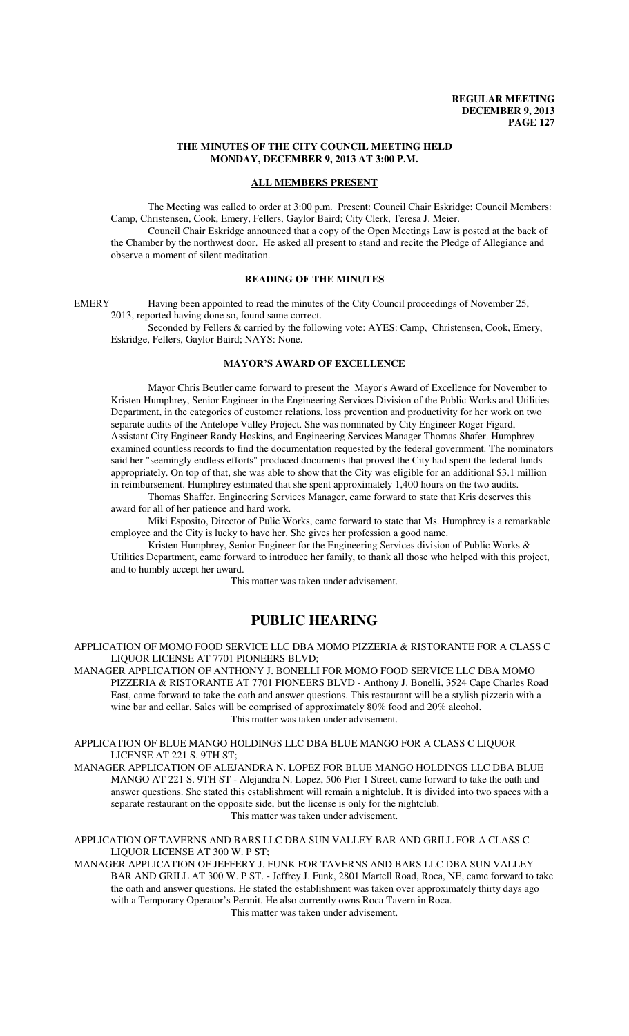#### **THE MINUTES OF THE CITY COUNCIL MEETING HELD MONDAY, DECEMBER 9, 2013 AT 3:00 P.M.**

#### **ALL MEMBERS PRESENT**

The Meeting was called to order at 3:00 p.m. Present: Council Chair Eskridge; Council Members: Camp, Christensen, Cook, Emery, Fellers, Gaylor Baird; City Clerk, Teresa J. Meier.

Council Chair Eskridge announced that a copy of the Open Meetings Law is posted at the back of the Chamber by the northwest door. He asked all present to stand and recite the Pledge of Allegiance and observe a moment of silent meditation.

# **READING OF THE MINUTES**

EMERY Having been appointed to read the minutes of the City Council proceedings of November 25, 2013, reported having done so, found same correct.

Seconded by Fellers & carried by the following vote: AYES: Camp, Christensen, Cook, Emery, Eskridge, Fellers, Gaylor Baird; NAYS: None.

# **MAYOR'S AWARD OF EXCELLENCE**

Mayor Chris Beutler came forward to present the Mayor's Award of Excellence for November to Kristen Humphrey, Senior Engineer in the Engineering Services Division of the Public Works and Utilities Department, in the categories of customer relations, loss prevention and productivity for her work on two separate audits of the Antelope Valley Project. She was nominated by City Engineer Roger Figard, Assistant City Engineer Randy Hoskins, and Engineering Services Manager Thomas Shafer. Humphrey examined countless records to find the documentation requested by the federal government. The nominators said her "seemingly endless efforts" produced documents that proved the City had spent the federal funds appropriately. On top of that, she was able to show that the City was eligible for an additional \$3.1 million in reimbursement. Humphrey estimated that she spent approximately 1,400 hours on the two audits.

Thomas Shaffer, Engineering Services Manager, came forward to state that Kris deserves this award for all of her patience and hard work.

Miki Esposito, Director of Pulic Works, came forward to state that Ms. Humphrey is a remarkable employee and the City is lucky to have her. She gives her profession a good name.

Kristen Humphrey, Senior Engineer for the Engineering Services division of Public Works & Utilities Department, came forward to introduce her family, to thank all those who helped with this project, and to humbly accept her award.

This matter was taken under advisement.

# **PUBLIC HEARING**

APPLICATION OF MOMO FOOD SERVICE LLC DBA MOMO PIZZERIA & RISTORANTE FOR A CLASS C LIQUOR LICENSE AT 7701 PIONEERS BLVD;

MANAGER APPLICATION OF ANTHONY J. BONELLI FOR MOMO FOOD SERVICE LLC DBA MOMO PIZZERIA & RISTORANTE AT 7701 PIONEERS BLVD - Anthony J. Bonelli, 3524 Cape Charles Road East, came forward to take the oath and answer questions. This restaurant will be a stylish pizzeria with a wine bar and cellar. Sales will be comprised of approximately 80% food and 20% alcohol. This matter was taken under advisement.

APPLICATION OF BLUE MANGO HOLDINGS LLC DBA BLUE MANGO FOR A CLASS C LIQUOR LICENSE AT 221 S. 9TH ST;

MANAGER APPLICATION OF ALEJANDRA N. LOPEZ FOR BLUE MANGO HOLDINGS LLC DBA BLUE MANGO AT 221 S. 9TH ST - Alejandra N. Lopez, 506 Pier 1 Street, came forward to take the oath and answer questions. She stated this establishment will remain a nightclub. It is divided into two spaces with a separate restaurant on the opposite side, but the license is only for the nightclub. This matter was taken under advisement.

APPLICATION OF TAVERNS AND BARS LLC DBA SUN VALLEY BAR AND GRILL FOR A CLASS C LIQUOR LICENSE AT 300 W. P ST;

MANAGER APPLICATION OF JEFFERY J. FUNK FOR TAVERNS AND BARS LLC DBA SUN VALLEY BAR AND GRILL AT 300 W. P ST. - Jeffrey J. Funk, 2801 Martell Road, Roca, NE, came forward to take the oath and answer questions. He stated the establishment was taken over approximately thirty days ago with a Temporary Operator's Permit. He also currently owns Roca Tavern in Roca. This matter was taken under advisement.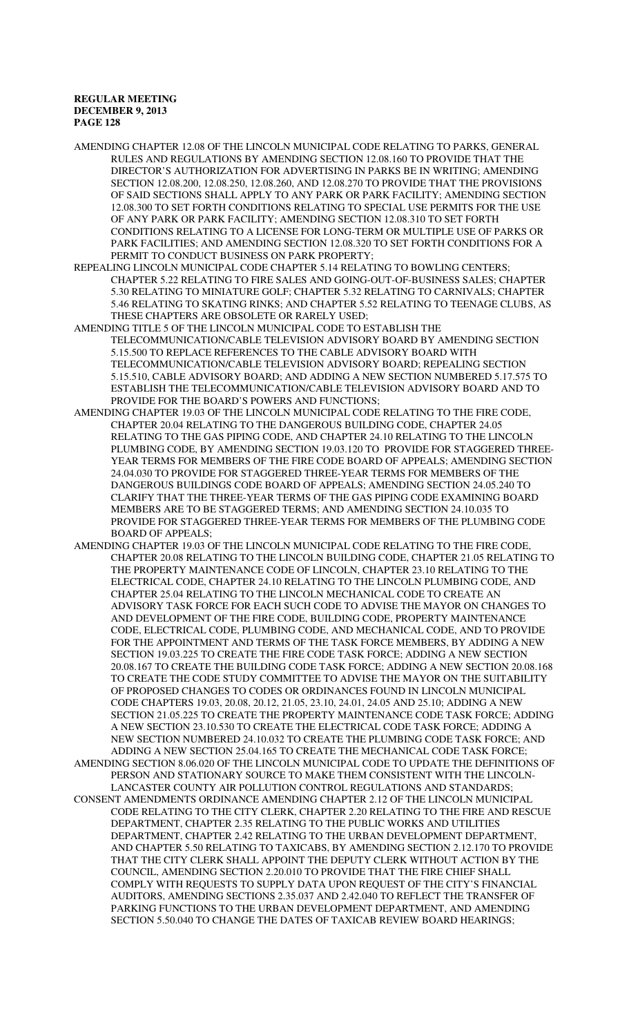AMENDING CHAPTER 12.08 OF THE LINCOLN MUNICIPAL CODE RELATING TO PARKS, GENERAL RULES AND REGULATIONS BY AMENDING SECTION 12.08.160 TO PROVIDE THAT THE DIRECTOR'S AUTHORIZATION FOR ADVERTISING IN PARKS BE IN WRITING; AMENDING SECTION 12.08.200, 12.08.250, 12.08.260, AND 12.08.270 TO PROVIDE THAT THE PROVISIONS OF SAID SECTIONS SHALL APPLY TO ANY PARK OR PARK FACILITY; AMENDING SECTION 12.08.300 TO SET FORTH CONDITIONS RELATING TO SPECIAL USE PERMITS FOR THE USE OF ANY PARK OR PARK FACILITY; AMENDING SECTION 12.08.310 TO SET FORTH CONDITIONS RELATING TO A LICENSE FOR LONG-TERM OR MULTIPLE USE OF PARKS OR PARK FACILITIES; AND AMENDING SECTION 12.08.320 TO SET FORTH CONDITIONS FOR A PERMIT TO CONDUCT BUSINESS ON PARK PROPERTY;

- REPEALING LINCOLN MUNICIPAL CODE CHAPTER 5.14 RELATING TO BOWLING CENTERS; CHAPTER 5.22 RELATING TO FIRE SALES AND GOING-OUT-OF-BUSINESS SALES; CHAPTER 5.30 RELATING TO MINIATURE GOLF; CHAPTER 5.32 RELATING TO CARNIVALS; CHAPTER 5.46 RELATING TO SKATING RINKS; AND CHAPTER 5.52 RELATING TO TEENAGE CLUBS, AS THESE CHAPTERS ARE OBSOLETE OR RARELY USED;
- AMENDING TITLE 5 OF THE LINCOLN MUNICIPAL CODE TO ESTABLISH THE TELECOMMUNICATION/CABLE TELEVISION ADVISORY BOARD BY AMENDING SECTION 5.15.500 TO REPLACE REFERENCES TO THE CABLE ADVISORY BOARD WITH TELECOMMUNICATION/CABLE TELEVISION ADVISORY BOARD; REPEALING SECTION 5.15.510, CABLE ADVISORY BOARD; AND ADDING A NEW SECTION NUMBERED 5.17.575 TO ESTABLISH THE TELECOMMUNICATION/CABLE TELEVISION ADVISORY BOARD AND TO PROVIDE FOR THE BOARD'S POWERS AND FUNCTIONS;
- AMENDING CHAPTER 19.03 OF THE LINCOLN MUNICIPAL CODE RELATING TO THE FIRE CODE, CHAPTER 20.04 RELATING TO THE DANGEROUS BUILDING CODE, CHAPTER 24.05 RELATING TO THE GAS PIPING CODE, AND CHAPTER 24.10 RELATING TO THE LINCOLN PLUMBING CODE, BY AMENDING SECTION 19.03.120 TO PROVIDE FOR STAGGERED THREE-YEAR TERMS FOR MEMBERS OF THE FIRE CODE BOARD OF APPEALS; AMENDING SECTION 24.04.030 TO PROVIDE FOR STAGGERED THREE-YEAR TERMS FOR MEMBERS OF THE DANGEROUS BUILDINGS CODE BOARD OF APPEALS; AMENDING SECTION 24.05.240 TO CLARIFY THAT THE THREE-YEAR TERMS OF THE GAS PIPING CODE EXAMINING BOARD MEMBERS ARE TO BE STAGGERED TERMS; AND AMENDING SECTION 24.10.035 TO PROVIDE FOR STAGGERED THREE-YEAR TERMS FOR MEMBERS OF THE PLUMBING CODE BOARD OF APPEALS;
- AMENDING CHAPTER 19.03 OF THE LINCOLN MUNICIPAL CODE RELATING TO THE FIRE CODE, CHAPTER 20.08 RELATING TO THE LINCOLN BUILDING CODE, CHAPTER 21.05 RELATING TO THE PROPERTY MAINTENANCE CODE OF LINCOLN, CHAPTER 23.10 RELATING TO THE ELECTRICAL CODE, CHAPTER 24.10 RELATING TO THE LINCOLN PLUMBING CODE, AND CHAPTER 25.04 RELATING TO THE LINCOLN MECHANICAL CODE TO CREATE AN ADVISORY TASK FORCE FOR EACH SUCH CODE TO ADVISE THE MAYOR ON CHANGES TO AND DEVELOPMENT OF THE FIRE CODE, BUILDING CODE, PROPERTY MAINTENANCE CODE, ELECTRICAL CODE, PLUMBING CODE, AND MECHANICAL CODE, AND TO PROVIDE FOR THE APPOINTMENT AND TERMS OF THE TASK FORCE MEMBERS, BY ADDING A NEW SECTION 19.03.225 TO CREATE THE FIRE CODE TASK FORCE; ADDING A NEW SECTION 20.08.167 TO CREATE THE BUILDING CODE TASK FORCE; ADDING A NEW SECTION 20.08.168 TO CREATE THE CODE STUDY COMMITTEE TO ADVISE THE MAYOR ON THE SUITABILITY OF PROPOSED CHANGES TO CODES OR ORDINANCES FOUND IN LINCOLN MUNICIPAL CODE CHAPTERS 19.03, 20.08, 20.12, 21.05, 23.10, 24.01, 24.05 AND 25.10; ADDING A NEW SECTION 21.05.225 TO CREATE THE PROPERTY MAINTENANCE CODE TASK FORCE; ADDING A NEW SECTION 23.10.530 TO CREATE THE ELECTRICAL CODE TASK FORCE; ADDING A NEW SECTION NUMBERED 24.10.032 TO CREATE THE PLUMBING CODE TASK FORCE; AND ADDING A NEW SECTION 25.04.165 TO CREATE THE MECHANICAL CODE TASK FORCE; AMENDING SECTION 8.06.020 OF THE LINCOLN MUNICIPAL CODE TO UPDATE THE DEFINITIONS OF PERSON AND STATIONARY SOURCE TO MAKE THEM CONSISTENT WITH THE LINCOLN-LANCASTER COUNTY AIR POLLUTION CONTROL REGULATIONS AND STANDARDS; CONSENT AMENDMENTS ORDINANCE AMENDING CHAPTER 2.12 OF THE LINCOLN MUNICIPAL CODE RELATING TO THE CITY CLERK, CHAPTER 2.20 RELATING TO THE FIRE AND RESCUE DEPARTMENT, CHAPTER 2.35 RELATING TO THE PUBLIC WORKS AND UTILITIES DEPARTMENT, CHAPTER 2.42 RELATING TO THE URBAN DEVELOPMENT DEPARTMENT, AND CHAPTER 5.50 RELATING TO TAXICABS, BY AMENDING SECTION 2.12.170 TO PROVIDE THAT THE CITY CLERK SHALL APPOINT THE DEPUTY CLERK WITHOUT ACTION BY THE COUNCIL, AMENDING SECTION 2.20.010 TO PROVIDE THAT THE FIRE CHIEF SHALL COMPLY WITH REQUESTS TO SUPPLY DATA UPON REQUEST OF THE CITY'S FINANCIAL AUDITORS, AMENDING SECTIONS 2.35.037 AND 2.42.040 TO REFLECT THE TRANSFER OF PARKING FUNCTIONS TO THE URBAN DEVELOPMENT DEPARTMENT, AND AMENDING SECTION 5.50.040 TO CHANGE THE DATES OF TAXICAB REVIEW BOARD HEARINGS;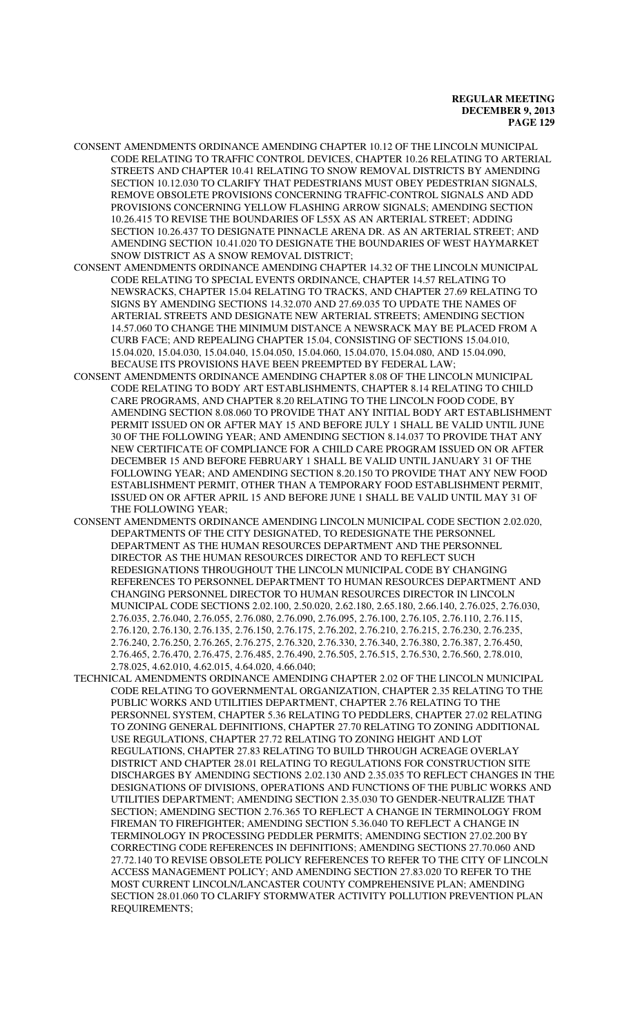- CONSENT AMENDMENTS ORDINANCE AMENDING CHAPTER 10.12 OF THE LINCOLN MUNICIPAL CODE RELATING TO TRAFFIC CONTROL DEVICES, CHAPTER 10.26 RELATING TO ARTERIAL STREETS AND CHAPTER 10.41 RELATING TO SNOW REMOVAL DISTRICTS BY AMENDING SECTION 10.12.030 TO CLARIFY THAT PEDESTRIANS MUST OBEY PEDESTRIAN SIGNALS, REMOVE OBSOLETE PROVISIONS CONCERNING TRAFFIC-CONTROL SIGNALS AND ADD PROVISIONS CONCERNING YELLOW FLASHING ARROW SIGNALS; AMENDING SECTION 10.26.415 TO REVISE THE BOUNDARIES OF L55X AS AN ARTERIAL STREET; ADDING SECTION 10.26.437 TO DESIGNATE PINNACLE ARENA DR. AS AN ARTERIAL STREET; AND AMENDING SECTION 10.41.020 TO DESIGNATE THE BOUNDARIES OF WEST HAYMARKET SNOW DISTRICT AS A SNOW REMOVAL DISTRICT;
- CONSENT AMENDMENTS ORDINANCE AMENDING CHAPTER 14.32 OF THE LINCOLN MUNICIPAL CODE RELATING TO SPECIAL EVENTS ORDINANCE, CHAPTER 14.57 RELATING TO NEWSRACKS, CHAPTER 15.04 RELATING TO TRACKS, AND CHAPTER 27.69 RELATING TO SIGNS BY AMENDING SECTIONS 14.32.070 AND 27.69.035 TO UPDATE THE NAMES OF ARTERIAL STREETS AND DESIGNATE NEW ARTERIAL STREETS; AMENDING SECTION 14.57.060 TO CHANGE THE MINIMUM DISTANCE A NEWSRACK MAY BE PLACED FROM A CURB FACE; AND REPEALING CHAPTER 15.04, CONSISTING OF SECTIONS 15.04.010, 15.04.020, 15.04.030, 15.04.040, 15.04.050, 15.04.060, 15.04.070, 15.04.080, AND 15.04.090, BECAUSE ITS PROVISIONS HAVE BEEN PREEMPTED BY FEDERAL LAW;
- CONSENT AMENDMENTS ORDINANCE AMENDING CHAPTER 8.08 OF THE LINCOLN MUNICIPAL CODE RELATING TO BODY ART ESTABLISHMENTS, CHAPTER 8.14 RELATING TO CHILD CARE PROGRAMS, AND CHAPTER 8.20 RELATING TO THE LINCOLN FOOD CODE, BY AMENDING SECTION 8.08.060 TO PROVIDE THAT ANY INITIAL BODY ART ESTABLISHMENT PERMIT ISSUED ON OR AFTER MAY 15 AND BEFORE JULY 1 SHALL BE VALID UNTIL JUNE 30 OF THE FOLLOWING YEAR; AND AMENDING SECTION 8.14.037 TO PROVIDE THAT ANY NEW CERTIFICATE OF COMPLIANCE FOR A CHILD CARE PROGRAM ISSUED ON OR AFTER DECEMBER 15 AND BEFORE FEBRUARY 1 SHALL BE VALID UNTIL JANUARY 31 OF THE FOLLOWING YEAR; AND AMENDING SECTION 8.20.150 TO PROVIDE THAT ANY NEW FOOD ESTABLISHMENT PERMIT, OTHER THAN A TEMPORARY FOOD ESTABLISHMENT PERMIT, ISSUED ON OR AFTER APRIL 15 AND BEFORE JUNE 1 SHALL BE VALID UNTIL MAY 31 OF THE FOLLOWING YEAR;
- CONSENT AMENDMENTS ORDINANCE AMENDING LINCOLN MUNICIPAL CODE SECTION 2.02.020, DEPARTMENTS OF THE CITY DESIGNATED, TO REDESIGNATE THE PERSONNEL DEPARTMENT AS THE HUMAN RESOURCES DEPARTMENT AND THE PERSONNEL DIRECTOR AS THE HUMAN RESOURCES DIRECTOR AND TO REFLECT SUCH REDESIGNATIONS THROUGHOUT THE LINCOLN MUNICIPAL CODE BY CHANGING REFERENCES TO PERSONNEL DEPARTMENT TO HUMAN RESOURCES DEPARTMENT AND CHANGING PERSONNEL DIRECTOR TO HUMAN RESOURCES DIRECTOR IN LINCOLN MUNICIPAL CODE SECTIONS 2.02.100, 2.50.020, 2.62.180, 2.65.180, 2.66.140, 2.76.025, 2.76.030, 2.76.035, 2.76.040, 2.76.055, 2.76.080, 2.76.090, 2.76.095, 2.76.100, 2.76.105, 2.76.110, 2.76.115, 2.76.120, 2.76.130, 2.76.135, 2.76.150, 2.76.175, 2.76.202, 2.76.210, 2.76.215, 2.76.230, 2.76.235, 2.76.240, 2.76.250, 2.76.265, 2.76.275, 2.76.320, 2.76.330, 2.76.340, 2.76.380, 2.76.387, 2.76.450, 2.76.465, 2.76.470, 2.76.475, 2.76.485, 2.76.490, 2.76.505, 2.76.515, 2.76.530, 2.76.560, 2.78.010, 2.78.025, 4.62.010, 4.62.015, 4.64.020, 4.66.040;
- TECHNICAL AMENDMENTS ORDINANCE AMENDING CHAPTER 2.02 OF THE LINCOLN MUNICIPAL CODE RELATING TO GOVERNMENTAL ORGANIZATION, CHAPTER 2.35 RELATING TO THE PUBLIC WORKS AND UTILITIES DEPARTMENT, CHAPTER 2.76 RELATING TO THE PERSONNEL SYSTEM, CHAPTER 5.36 RELATING TO PEDDLERS, CHAPTER 27.02 RELATING TO ZONING GENERAL DEFINITIONS, CHAPTER 27.70 RELATING TO ZONING ADDITIONAL USE REGULATIONS, CHAPTER 27.72 RELATING TO ZONING HEIGHT AND LOT REGULATIONS, CHAPTER 27.83 RELATING TO BUILD THROUGH ACREAGE OVERLAY DISTRICT AND CHAPTER 28.01 RELATING TO REGULATIONS FOR CONSTRUCTION SITE DISCHARGES BY AMENDING SECTIONS 2.02.130 AND 2.35.035 TO REFLECT CHANGES IN THE DESIGNATIONS OF DIVISIONS, OPERATIONS AND FUNCTIONS OF THE PUBLIC WORKS AND UTILITIES DEPARTMENT; AMENDING SECTION 2.35.030 TO GENDER-NEUTRALIZE THAT SECTION; AMENDING SECTION 2.76.365 TO REFLECT A CHANGE IN TERMINOLOGY FROM FIREMAN TO FIREFIGHTER; AMENDING SECTION 5.36.040 TO REFLECT A CHANGE IN TERMINOLOGY IN PROCESSING PEDDLER PERMITS; AMENDING SECTION 27.02.200 BY CORRECTING CODE REFERENCES IN DEFINITIONS; AMENDING SECTIONS 27.70.060 AND 27.72.140 TO REVISE OBSOLETE POLICY REFERENCES TO REFER TO THE CITY OF LINCOLN ACCESS MANAGEMENT POLICY; AND AMENDING SECTION 27.83.020 TO REFER TO THE MOST CURRENT LINCOLN/LANCASTER COUNTY COMPREHENSIVE PLAN; AMENDING SECTION 28.01.060 TO CLARIFY STORMWATER ACTIVITY POLLUTION PREVENTION PLAN REQUIREMENTS;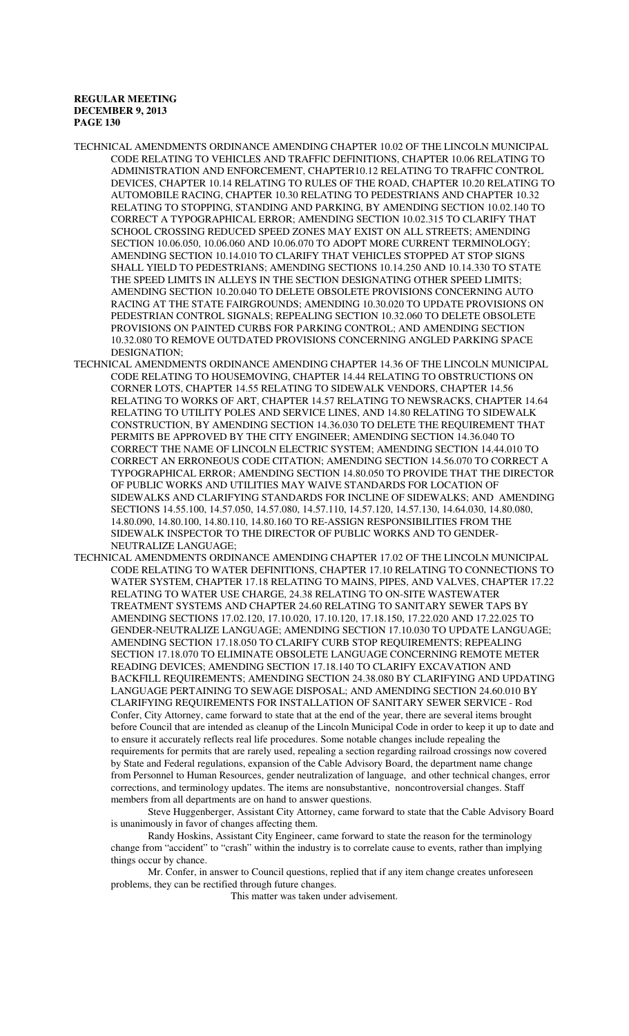- TECHNICAL AMENDMENTS ORDINANCE AMENDING CHAPTER 10.02 OF THE LINCOLN MUNICIPAL CODE RELATING TO VEHICLES AND TRAFFIC DEFINITIONS, CHAPTER 10.06 RELATING TO ADMINISTRATION AND ENFORCEMENT, CHAPTER10.12 RELATING TO TRAFFIC CONTROL DEVICES, CHAPTER 10.14 RELATING TO RULES OF THE ROAD, CHAPTER 10.20 RELATING TO AUTOMOBILE RACING, CHAPTER 10.30 RELATING TO PEDESTRIANS AND CHAPTER 10.32 RELATING TO STOPPING, STANDING AND PARKING, BY AMENDING SECTION 10.02.140 TO CORRECT A TYPOGRAPHICAL ERROR; AMENDING SECTION 10.02.315 TO CLARIFY THAT SCHOOL CROSSING REDUCED SPEED ZONES MAY EXIST ON ALL STREETS; AMENDING SECTION 10.06.050, 10.06.060 AND 10.06.070 TO ADOPT MORE CURRENT TERMINOLOGY; AMENDING SECTION 10.14.010 TO CLARIFY THAT VEHICLES STOPPED AT STOP SIGNS SHALL YIELD TO PEDESTRIANS; AMENDING SECTIONS 10.14.250 AND 10.14.330 TO STATE THE SPEED LIMITS IN ALLEYS IN THE SECTION DESIGNATING OTHER SPEED LIMITS; AMENDING SECTION 10.20.040 TO DELETE OBSOLETE PROVISIONS CONCERNING AUTO RACING AT THE STATE FAIRGROUNDS; AMENDING 10.30.020 TO UPDATE PROVISIONS ON PEDESTRIAN CONTROL SIGNALS; REPEALING SECTION 10.32.060 TO DELETE OBSOLETE PROVISIONS ON PAINTED CURBS FOR PARKING CONTROL; AND AMENDING SECTION 10.32.080 TO REMOVE OUTDATED PROVISIONS CONCERNING ANGLED PARKING SPACE DESIGNATION;
- TECHNICAL AMENDMENTS ORDINANCE AMENDING CHAPTER 14.36 OF THE LINCOLN MUNICIPAL CODE RELATING TO HOUSEMOVING, CHAPTER 14.44 RELATING TO OBSTRUCTIONS ON CORNER LOTS, CHAPTER 14.55 RELATING TO SIDEWALK VENDORS, CHAPTER 14.56 RELATING TO WORKS OF ART, CHAPTER 14.57 RELATING TO NEWSRACKS, CHAPTER 14.64 RELATING TO UTILITY POLES AND SERVICE LINES, AND 14.80 RELATING TO SIDEWALK CONSTRUCTION, BY AMENDING SECTION 14.36.030 TO DELETE THE REQUIREMENT THAT PERMITS BE APPROVED BY THE CITY ENGINEER; AMENDING SECTION 14.36.040 TO CORRECT THE NAME OF LINCOLN ELECTRIC SYSTEM; AMENDING SECTION 14.44.010 TO CORRECT AN ERRONEOUS CODE CITATION; AMENDING SECTION 14.56.070 TO CORRECT A TYPOGRAPHICAL ERROR; AMENDING SECTION 14.80.050 TO PROVIDE THAT THE DIRECTOR OF PUBLIC WORKS AND UTILITIES MAY WAIVE STANDARDS FOR LOCATION OF SIDEWALKS AND CLARIFYING STANDARDS FOR INCLINE OF SIDEWALKS; AND AMENDING SECTIONS 14.55.100, 14.57.050, 14.57.080, 14.57.110, 14.57.120, 14.57.130, 14.64.030, 14.80.080, 14.80.090, 14.80.100, 14.80.110, 14.80.160 TO RE-ASSIGN RESPONSIBILITIES FROM THE SIDEWALK INSPECTOR TO THE DIRECTOR OF PUBLIC WORKS AND TO GENDER-NEUTRALIZE LANGUAGE;
- TECHNICAL AMENDMENTS ORDINANCE AMENDING CHAPTER 17.02 OF THE LINCOLN MUNICIPAL CODE RELATING TO WATER DEFINITIONS, CHAPTER 17.10 RELATING TO CONNECTIONS TO WATER SYSTEM, CHAPTER 17.18 RELATING TO MAINS, PIPES, AND VALVES, CHAPTER 17.22 RELATING TO WATER USE CHARGE, 24.38 RELATING TO ON-SITE WASTEWATER TREATMENT SYSTEMS AND CHAPTER 24.60 RELATING TO SANITARY SEWER TAPS BY AMENDING SECTIONS 17.02.120, 17.10.020, 17.10.120, 17.18.150, 17.22.020 AND 17.22.025 TO GENDER-NEUTRALIZE LANGUAGE; AMENDING SECTION 17.10.030 TO UPDATE LANGUAGE; AMENDING SECTION 17.18.050 TO CLARIFY CURB STOP REQUIREMENTS; REPEALING SECTION 17.18.070 TO ELIMINATE OBSOLETE LANGUAGE CONCERNING REMOTE METER READING DEVICES; AMENDING SECTION 17.18.140 TO CLARIFY EXCAVATION AND BACKFILL REQUIREMENTS; AMENDING SECTION 24.38.080 BY CLARIFYING AND UPDATING LANGUAGE PERTAINING TO SEWAGE DISPOSAL; AND AMENDING SECTION 24.60.010 BY CLARIFYING REQUIREMENTS FOR INSTALLATION OF SANITARY SEWER SERVICE - Rod Confer, City Attorney, came forward to state that at the end of the year, there are several items brought before Council that are intended as cleanup of the Lincoln Municipal Code in order to keep it up to date and to ensure it accurately reflects real life procedures. Some notable changes include repealing the requirements for permits that are rarely used, repealing a section regarding railroad crossings now covered by State and Federal regulations, expansion of the Cable Advisory Board, the department name change from Personnel to Human Resources, gender neutralization of language, and other technical changes, error corrections, and terminology updates. The items are nonsubstantive, noncontroversial changes. Staff members from all departments are on hand to answer questions.

Steve Huggenberger, Assistant City Attorney, came forward to state that the Cable Advisory Board is unanimously in favor of changes affecting them.

Randy Hoskins, Assistant City Engineer, came forward to state the reason for the terminology change from "accident" to "crash" within the industry is to correlate cause to events, rather than implying things occur by chance.

Mr. Confer, in answer to Council questions, replied that if any item change creates unforeseen problems, they can be rectified through future changes.

This matter was taken under advisement.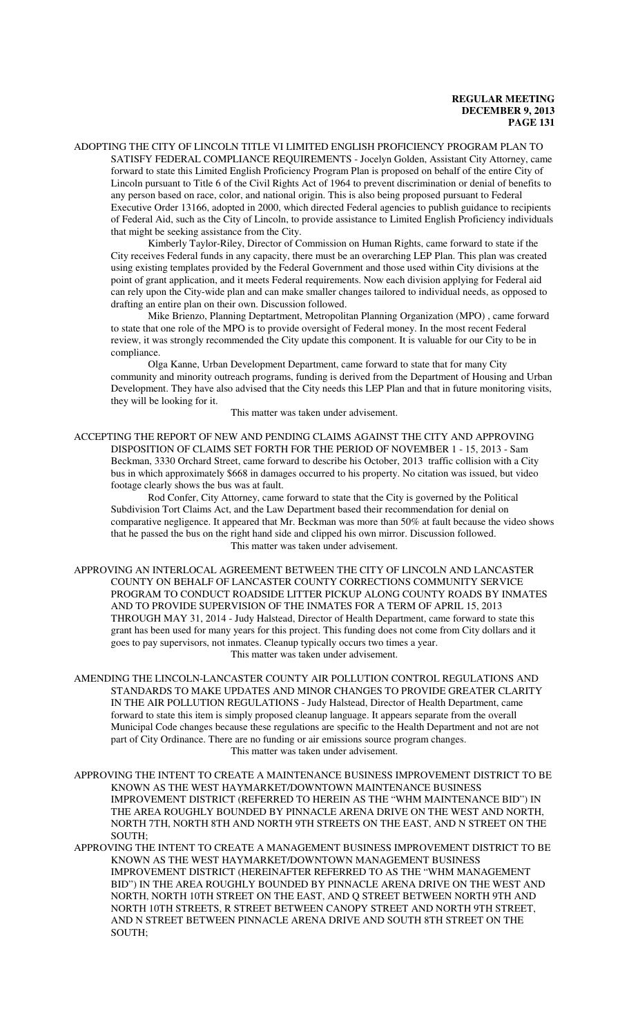ADOPTING THE CITY OF LINCOLN TITLE VI LIMITED ENGLISH PROFICIENCY PROGRAM PLAN TO SATISFY FEDERAL COMPLIANCE REQUIREMENTS - Jocelyn Golden, Assistant City Attorney, came forward to state this Limited English Proficiency Program Plan is proposed on behalf of the entire City of Lincoln pursuant to Title 6 of the Civil Rights Act of 1964 to prevent discrimination or denial of benefits to any person based on race, color, and national origin. This is also being proposed pursuant to Federal Executive Order 13166, adopted in 2000, which directed Federal agencies to publish guidance to recipients of Federal Aid, such as the City of Lincoln, to provide assistance to Limited English Proficiency individuals that might be seeking assistance from the City.

Kimberly Taylor-Riley, Director of Commission on Human Rights, came forward to state if the City receives Federal funds in any capacity, there must be an overarching LEP Plan. This plan was created using existing templates provided by the Federal Government and those used within City divisions at the point of grant application, and it meets Federal requirements. Now each division applying for Federal aid can rely upon the City-wide plan and can make smaller changes tailored to individual needs, as opposed to drafting an entire plan on their own. Discussion followed.

Mike Brienzo, Planning Deptartment, Metropolitan Planning Organization (MPO) , came forward to state that one role of the MPO is to provide oversight of Federal money. In the most recent Federal review, it was strongly recommended the City update this component. It is valuable for our City to be in compliance.

Olga Kanne, Urban Development Department, came forward to state that for many City community and minority outreach programs, funding is derived from the Department of Housing and Urban Development. They have also advised that the City needs this LEP Plan and that in future monitoring visits, they will be looking for it.

This matter was taken under advisement.

ACCEPTING THE REPORT OF NEW AND PENDING CLAIMS AGAINST THE CITY AND APPROVING DISPOSITION OF CLAIMS SET FORTH FOR THE PERIOD OF NOVEMBER 1 - 15, 2013 - Sam Beckman, 3330 Orchard Street, came forward to describe his October, 2013 traffic collision with a City bus in which approximately \$668 in damages occurred to his property. No citation was issued, but video footage clearly shows the bus was at fault.

Rod Confer, City Attorney, came forward to state that the City is governed by the Political Subdivision Tort Claims Act, and the Law Department based their recommendation for denial on comparative negligence. It appeared that Mr. Beckman was more than 50% at fault because the video shows that he passed the bus on the right hand side and clipped his own mirror. Discussion followed. This matter was taken under advisement.

APPROVING AN INTERLOCAL AGREEMENT BETWEEN THE CITY OF LINCOLN AND LANCASTER COUNTY ON BEHALF OF LANCASTER COUNTY CORRECTIONS COMMUNITY SERVICE PROGRAM TO CONDUCT ROADSIDE LITTER PICKUP ALONG COUNTY ROADS BY INMATES AND TO PROVIDE SUPERVISION OF THE INMATES FOR A TERM OF APRIL 15, 2013 THROUGH MAY 31, 2014 - Judy Halstead, Director of Health Department, came forward to state this grant has been used for many years for this project. This funding does not come from City dollars and it goes to pay supervisors, not inmates. Cleanup typically occurs two times a year. This matter was taken under advisement.

- AMENDING THE LINCOLN-LANCASTER COUNTY AIR POLLUTION CONTROL REGULATIONS AND STANDARDS TO MAKE UPDATES AND MINOR CHANGES TO PROVIDE GREATER CLARITY IN THE AIR POLLUTION REGULATIONS - Judy Halstead, Director of Health Department, came forward to state this item is simply proposed cleanup language. It appears separate from the overall Municipal Code changes because these regulations are specific to the Health Department and not are not part of City Ordinance. There are no funding or air emissions source program changes. This matter was taken under advisement.
- APPROVING THE INTENT TO CREATE A MAINTENANCE BUSINESS IMPROVEMENT DISTRICT TO BE KNOWN AS THE WEST HAYMARKET/DOWNTOWN MAINTENANCE BUSINESS IMPROVEMENT DISTRICT (REFERRED TO HEREIN AS THE "WHM MAINTENANCE BID") IN THE AREA ROUGHLY BOUNDED BY PINNACLE ARENA DRIVE ON THE WEST AND NORTH, NORTH 7TH, NORTH 8TH AND NORTH 9TH STREETS ON THE EAST, AND N STREET ON THE SOUTH;

APPROVING THE INTENT TO CREATE A MANAGEMENT BUSINESS IMPROVEMENT DISTRICT TO BE KNOWN AS THE WEST HAYMARKET/DOWNTOWN MANAGEMENT BUSINESS IMPROVEMENT DISTRICT (HEREINAFTER REFERRED TO AS THE "WHM MANAGEMENT BID") IN THE AREA ROUGHLY BOUNDED BY PINNACLE ARENA DRIVE ON THE WEST AND NORTH, NORTH 10TH STREET ON THE EAST, AND Q STREET BETWEEN NORTH 9TH AND NORTH 10TH STREETS, R STREET BETWEEN CANOPY STREET AND NORTH 9TH STREET, AND N STREET BETWEEN PINNACLE ARENA DRIVE AND SOUTH 8TH STREET ON THE SOUTH;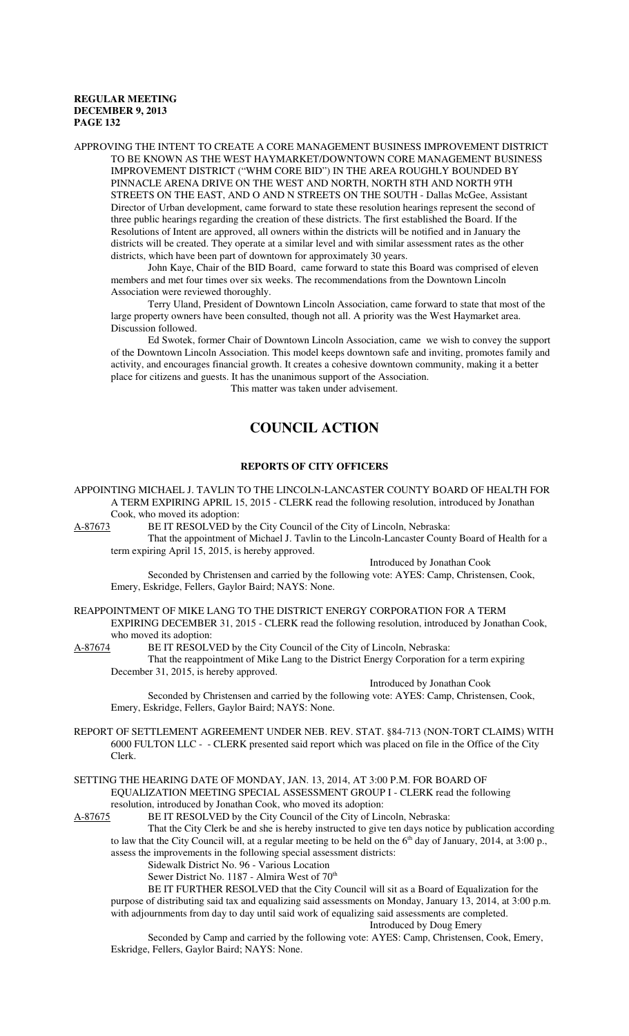APPROVING THE INTENT TO CREATE A CORE MANAGEMENT BUSINESS IMPROVEMENT DISTRICT TO BE KNOWN AS THE WEST HAYMARKET/DOWNTOWN CORE MANAGEMENT BUSINESS IMPROVEMENT DISTRICT ("WHM CORE BID") IN THE AREA ROUGHLY BOUNDED BY PINNACLE ARENA DRIVE ON THE WEST AND NORTH, NORTH 8TH AND NORTH 9TH STREETS ON THE EAST, AND O AND N STREETS ON THE SOUTH - Dallas McGee, Assistant Director of Urban development, came forward to state these resolution hearings represent the second of three public hearings regarding the creation of these districts. The first established the Board. If the Resolutions of Intent are approved, all owners within the districts will be notified and in January the districts will be created. They operate at a similar level and with similar assessment rates as the other districts, which have been part of downtown for approximately 30 years.

John Kaye, Chair of the BID Board, came forward to state this Board was comprised of eleven members and met four times over six weeks. The recommendations from the Downtown Lincoln Association were reviewed thoroughly.

Terry Uland, President of Downtown Lincoln Association, came forward to state that most of the large property owners have been consulted, though not all. A priority was the West Haymarket area. Discussion followed.

Ed Swotek, former Chair of Downtown Lincoln Association, came we wish to convey the support of the Downtown Lincoln Association. This model keeps downtown safe and inviting, promotes family and activity, and encourages financial growth. It creates a cohesive downtown community, making it a better place for citizens and guests. It has the unanimous support of the Association.

This matter was taken under advisement.

# **COUNCIL ACTION**

# **REPORTS OF CITY OFFICERS**

APPOINTING MICHAEL J. TAVLIN TO THE LINCOLN-LANCASTER COUNTY BOARD OF HEALTH FOR A TERM EXPIRING APRIL 15, 2015 - CLERK read the following resolution, introduced by Jonathan Cook, who moved its adoption:<br>A-87673 BE IT RESOLVED by

BE IT RESOLVED by the City Council of the City of Lincoln, Nebraska:

That the appointment of Michael J. Tavlin to the Lincoln-Lancaster County Board of Health for a term expiring April 15, 2015, is hereby approved.

Introduced by Jonathan Cook

Introduced by Jonathan Cook

Seconded by Christensen and carried by the following vote: AYES: Camp, Christensen, Cook, Emery, Eskridge, Fellers, Gaylor Baird; NAYS: None.

REAPPOINTMENT OF MIKE LANG TO THE DISTRICT ENERGY CORPORATION FOR A TERM EXPIRING DECEMBER 31, 2015 - CLERK read the following resolution, introduced by Jonathan Cook, who moved its adoption:

A-87674 BE IT RESOLVED by the City Council of the City of Lincoln, Nebraska: That the reappointment of Mike Lang to the District Energy Corporation for a term expiring December 31, 2015, is hereby approved.

Seconded by Christensen and carried by the following vote: AYES: Camp, Christensen, Cook, Emery, Eskridge, Fellers, Gaylor Baird; NAYS: None.

REPORT OF SETTLEMENT AGREEMENT UNDER NEB. REV. STAT. §84-713 (NON-TORT CLAIMS) WITH 6000 FULTON LLC - - CLERK presented said report which was placed on file in the Office of the City Clerk.

SETTING THE HEARING DATE OF MONDAY, JAN. 13, 2014, AT 3:00 P.M. FOR BOARD OF EQUALIZATION MEETING SPECIAL ASSESSMENT GROUP I - CLERK read the following resolution, introduced by Jonathan Cook, who moved its adoption:

A-87675 BE IT RESOLVED by the City Council of the City of Lincoln, Nebraska:

That the City Clerk be and she is hereby instructed to give ten days notice by publication according to law that the City Council will, at a regular meeting to be held on the  $6<sup>th</sup>$  day of January, 2014, at 3:00 p., assess the improvements in the following special assessment districts:

Sidewalk District No. 96 - Various Location

Sewer District No. 1187 - Almira West of 70<sup>th</sup>

BE IT FURTHER RESOLVED that the City Council will sit as a Board of Equalization for the purpose of distributing said tax and equalizing said assessments on Monday, January 13, 2014, at 3:00 p.m. with adjournments from day to day until said work of equalizing said assessments are completed. Introduced by Doug Emery

Seconded by Camp and carried by the following vote: AYES: Camp, Christensen, Cook, Emery, Eskridge, Fellers, Gaylor Baird; NAYS: None.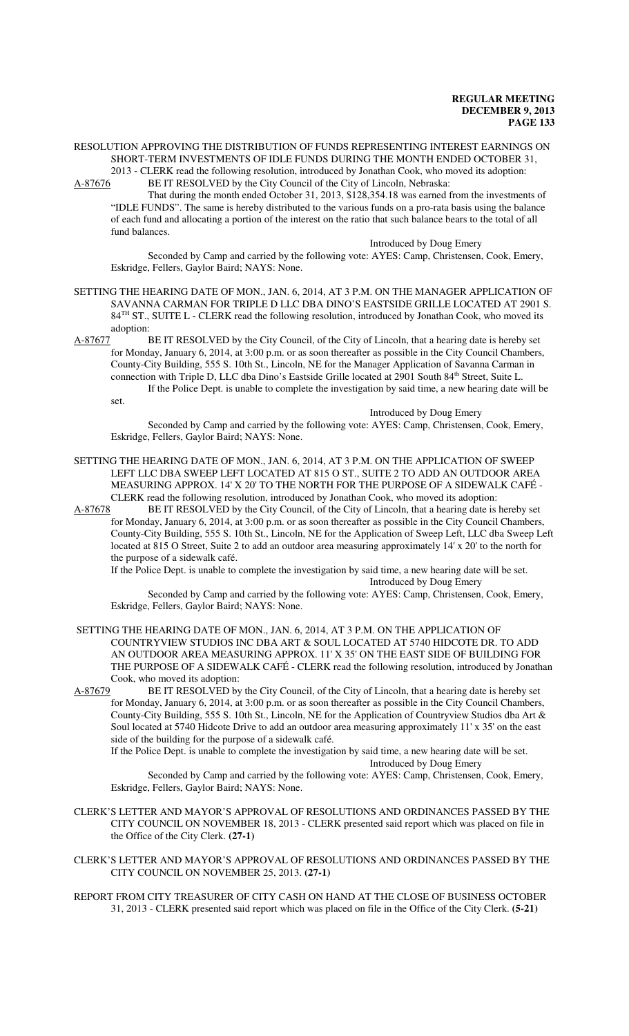#### RESOLUTION APPROVING THE DISTRIBUTION OF FUNDS REPRESENTING INTEREST EARNINGS ON SHORT-TERM INVESTMENTS OF IDLE FUNDS DURING THE MONTH ENDED OCTOBER 31, 2013 - CLERK read the following resolution, introduced by Jonathan Cook, who moved its adoption:

A-87676 BE IT RESOLVED by the City Council of the City of Lincoln, Nebraska:

That during the month ended October 31, 2013, \$128,354.18 was earned from the investments of "IDLE FUNDS". The same is hereby distributed to the various funds on a pro-rata basis using the balance of each fund and allocating a portion of the interest on the ratio that such balance bears to the total of all fund balances.

Introduced by Doug Emery

Seconded by Camp and carried by the following vote: AYES: Camp, Christensen, Cook, Emery, Eskridge, Fellers, Gaylor Baird; NAYS: None.

- SETTING THE HEARING DATE OF MON., JAN. 6, 2014, AT 3 P.M. ON THE MANAGER APPLICATION OF SAVANNA CARMAN FOR TRIPLE D LLC DBA DINO'S EASTSIDE GRILLE LOCATED AT 2901 S. 84<sup>TH</sup> ST., SUITE L - CLERK read the following resolution, introduced by Jonathan Cook, who moved its adoption:
- A-87677 BE IT RESOLVED by the City Council, of the City of Lincoln, that a hearing date is hereby set for Monday, January 6, 2014, at 3:00 p.m. or as soon thereafter as possible in the City Council Chambers, County-City Building, 555 S. 10th St., Lincoln, NE for the Manager Application of Savanna Carman in connection with Triple D, LLC dba Dino's Eastside Grille located at 2901 South 84<sup>th</sup> Street, Suite L. If the Police Dept. is unable to complete the investigation by said time, a new hearing date will be set.

Introduced by Doug Emery

Seconded by Camp and carried by the following vote: AYES: Camp, Christensen, Cook, Emery, Eskridge, Fellers, Gaylor Baird; NAYS: None.

SETTING THE HEARING DATE OF MON., JAN. 6, 2014, AT 3 P.M. ON THE APPLICATION OF SWEEP LEFT LLC DBA SWEEP LEFT LOCATED AT 815 O ST., SUITE 2 TO ADD AN OUTDOOR AREA MEASURING APPROX. 14' X 20' TO THE NORTH FOR THE PURPOSE OF A SIDEWALK CAFÉ - CLERK read the following resolution, introduced by Jonathan Cook, who moved its adoption:<br>A-87678 BE IT RESOLVED by the City Council, of the City of Lincoln, that a hearing date is

BE IT RESOLVED by the City Council, of the City of Lincoln, that a hearing date is hereby set for Monday, January 6, 2014, at 3:00 p.m. or as soon thereafter as possible in the City Council Chambers, County-City Building, 555 S. 10th St., Lincoln, NE for the Application of Sweep Left, LLC dba Sweep Left located at 815 O Street, Suite 2 to add an outdoor area measuring approximately 14' x 20' to the north for the purpose of a sidewalk café.

If the Police Dept. is unable to complete the investigation by said time, a new hearing date will be set. Introduced by Doug Emery

Seconded by Camp and carried by the following vote: AYES: Camp, Christensen, Cook, Emery, Eskridge, Fellers, Gaylor Baird; NAYS: None.

- SETTING THE HEARING DATE OF MON., JAN. 6, 2014, AT 3 P.M. ON THE APPLICATION OF COUNTRYVIEW STUDIOS INC DBA ART & SOUL LOCATED AT 5740 HIDCOTE DR. TO ADD AN OUTDOOR AREA MEASURING APPROX. 11' X 35' ON THE EAST SIDE OF BUILDING FOR THE PURPOSE OF A SIDEWALK CAFÉ - CLERK read the following resolution, introduced by Jonathan Cook, who moved its adoption:<br>A-87679 BE IT RESOLVED by
- BE IT RESOLVED by the City Council, of the City of Lincoln, that a hearing date is hereby set for Monday, January 6, 2014, at 3:00 p.m. or as soon thereafter as possible in the City Council Chambers, County-City Building, 555 S. 10th St., Lincoln, NE for the Application of Countryview Studios dba Art & Soul located at 5740 Hidcote Drive to add an outdoor area measuring approximately 11' x 35' on the east side of the building for the purpose of a sidewalk café.

If the Police Dept. is unable to complete the investigation by said time, a new hearing date will be set. Introduced by Doug Emery

Seconded by Camp and carried by the following vote: AYES: Camp, Christensen, Cook, Emery, Eskridge, Fellers, Gaylor Baird; NAYS: None.

- CLERK'S LETTER AND MAYOR'S APPROVAL OF RESOLUTIONS AND ORDINANCES PASSED BY THE CITY COUNCIL ON NOVEMBER 18, 2013 - CLERK presented said report which was placed on file in the Office of the City Clerk. **(27-1)**
- CLERK'S LETTER AND MAYOR'S APPROVAL OF RESOLUTIONS AND ORDINANCES PASSED BY THE CITY COUNCIL ON NOVEMBER 25, 2013. **(27-1)**
- REPORT FROM CITY TREASURER OF CITY CASH ON HAND AT THE CLOSE OF BUSINESS OCTOBER 31, 2013 - CLERK presented said report which was placed on file in the Office of the City Clerk. **(5-21)**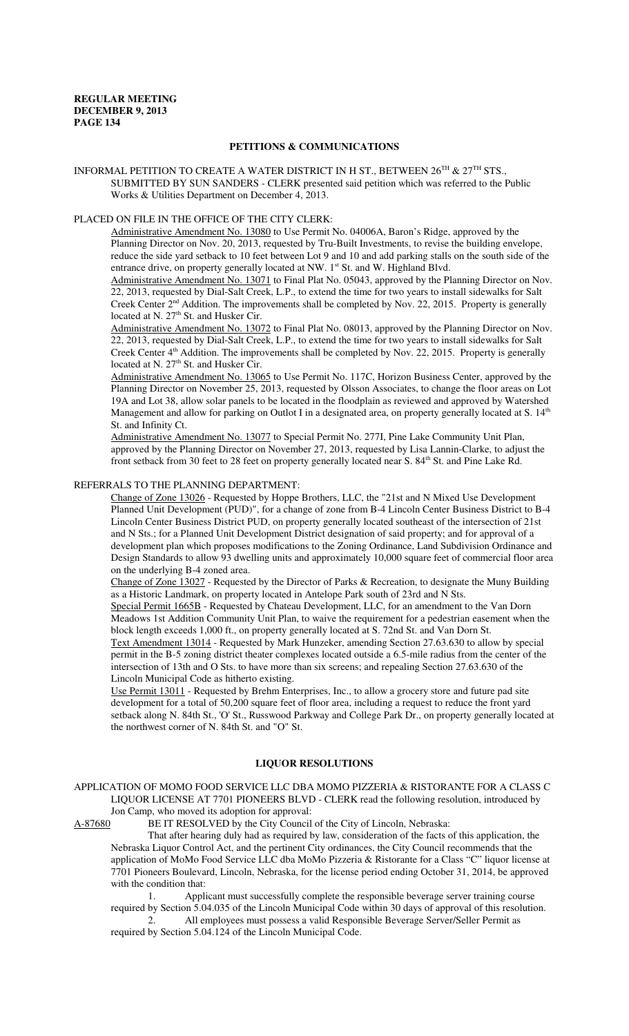# **PETITIONS & COMMUNICATIONS**

INFORMAL PETITION TO CREATE A WATER DISTRICT IN H ST., BETWEEN  $26^{TH}$  &  $27^{TH}$  STS., SUBMITTED BY SUN SANDERS - CLERK presented said petition which was referred to the Public Works & Utilities Department on December 4, 2013.

# PLACED ON FILE IN THE OFFICE OF THE CITY CLERK:

Administrative Amendment No. 13080 to Use Permit No. 04006A, Baron's Ridge, approved by the Planning Director on Nov. 20, 2013, requested by Tru-Built Investments, to revise the building envelope, reduce the side yard setback to 10 feet between Lot 9 and 10 and add parking stalls on the south side of the entrance drive, on property generally located at NW. 1<sup>st</sup> St. and W. Highland Blvd.

Administrative Amendment No. 13071 to Final Plat No. 05043, approved by the Planning Director on Nov. 22, 2013, requested by Dial-Salt Creek, L.P., to extend the time for two years to install sidewalks for Salt Creek Center  $2<sup>nd</sup>$  Addition. The improvements shall be completed by Nov. 22, 2015. Property is generally located at N.  $27<sup>th</sup>$  St. and Husker Cir.

Administrative Amendment No. 13072 to Final Plat No. 08013, approved by the Planning Director on Nov. 22, 2013, requested by Dial-Salt Creek, L.P., to extend the time for two years to install sidewalks for Salt Creek Center 4<sup>th</sup> Addition. The improvements shall be completed by Nov. 22, 2015. Property is generally located at N. 27<sup>th</sup> St. and Husker Cir.

Administrative Amendment No. 13065 to Use Permit No. 117C, Horizon Business Center, approved by the Planning Director on November 25, 2013, requested by Olsson Associates, to change the floor areas on Lot 19A and Lot 38, allow solar panels to be located in the floodplain as reviewed and approved by Watershed Management and allow for parking on Outlot I in a designated area, on property generally located at S. 14<sup>th</sup> St. and Infinity Ct.

Administrative Amendment No. 13077 to Special Permit No. 277I, Pine Lake Community Unit Plan, approved by the Planning Director on November 27, 2013, requested by Lisa Lannin-Clarke, to adjust the front setback from 30 feet to 28 feet on property generally located near S. 84<sup>th</sup> St. and Pine Lake Rd.

#### REFERRALS TO THE PLANNING DEPARTMENT:

Change of Zone 13026 - Requested by Hoppe Brothers, LLC, the "21st and N Mixed Use Development Planned Unit Development (PUD)", for a change of zone from B-4 Lincoln Center Business District to B-4 Lincoln Center Business District PUD, on property generally located southeast of the intersection of 21st and N Sts.; for a Planned Unit Development District designation of said property; and for approval of a development plan which proposes modifications to the Zoning Ordinance, Land Subdivision Ordinance and Design Standards to allow 93 dwelling units and approximately 10,000 square feet of commercial floor area on the underlying B-4 zoned area.

Change of Zone 13027 - Requested by the Director of Parks & Recreation, to designate the Muny Building as a Historic Landmark, on property located in Antelope Park south of 23rd and N Sts.

Special Permit 1665B - Requested by Chateau Development, LLC, for an amendment to the Van Dorn Meadows 1st Addition Community Unit Plan, to waive the requirement for a pedestrian easement when the block length exceeds 1,000 ft., on property generally located at S. 72nd St. and Van Dorn St.

Text Amendment 13014 - Requested by Mark Hunzeker, amending Section 27.63.630 to allow by special permit in the B-5 zoning district theater complexes located outside a 6.5-mile radius from the center of the intersection of 13th and O Sts. to have more than six screens; and repealing Section 27.63.630 of the Lincoln Municipal Code as hitherto existing.

Use Permit 13011 - Requested by Brehm Enterprises, Inc., to allow a grocery store and future pad site development for a total of 50,200 square feet of floor area, including a request to reduce the front yard setback along N. 84th St., 'O' St., Russwood Parkway and College Park Dr., on property generally located at the northwest corner of N. 84th St. and "O" St.

# **LIQUOR RESOLUTIONS**

APPLICATION OF MOMO FOOD SERVICE LLC DBA MOMO PIZZERIA & RISTORANTE FOR A CLASS C LIQUOR LICENSE AT 7701 PIONEERS BLVD - CLERK read the following resolution, introduced by Jon Camp, who moved its adoption for approval:

A-87680 BE IT RESOLVED by the City Council of the City of Lincoln, Nebraska:

That after hearing duly had as required by law, consideration of the facts of this application, the Nebraska Liquor Control Act, and the pertinent City ordinances, the City Council recommends that the application of MoMo Food Service LLC dba MoMo Pizzeria & Ristorante for a Class "C" liquor license at 7701 Pioneers Boulevard, Lincoln, Nebraska, for the license period ending October 31, 2014, be approved with the condition that:

1. Applicant must successfully complete the responsible beverage server training course required by Section 5.04.035 of the Lincoln Municipal Code within 30 days of approval of this resolution.

2. All employees must possess a valid Responsible Beverage Server/Seller Permit as required by Section 5.04.124 of the Lincoln Municipal Code.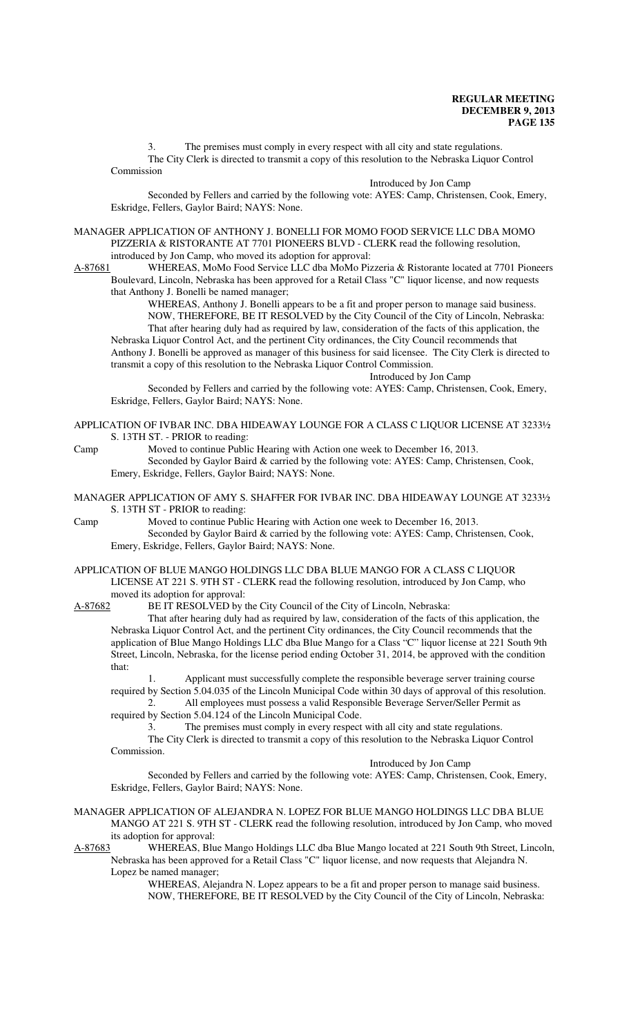The premises must comply in every respect with all city and state regulations. The City Clerk is directed to transmit a copy of this resolution to the Nebraska Liquor Control Commission

Introduced by Jon Camp

Seconded by Fellers and carried by the following vote: AYES: Camp, Christensen, Cook, Emery, Eskridge, Fellers, Gaylor Baird; NAYS: None.

MANAGER APPLICATION OF ANTHONY J. BONELLI FOR MOMO FOOD SERVICE LLC DBA MOMO PIZZERIA & RISTORANTE AT 7701 PIONEERS BLVD - CLERK read the following resolution, introduced by Jon Camp, who moved its adoption for approval:

A-87681 WHEREAS, MoMo Food Service LLC dba MoMo Pizzeria & Ristorante located at 7701 Pioneers Boulevard, Lincoln, Nebraska has been approved for a Retail Class "C" liquor license, and now requests that Anthony J. Bonelli be named manager;

WHEREAS, Anthony J. Bonelli appears to be a fit and proper person to manage said business. NOW, THEREFORE, BE IT RESOLVED by the City Council of the City of Lincoln, Nebraska: That after hearing duly had as required by law, consideration of the facts of this application, the Nebraska Liquor Control Act, and the pertinent City ordinances, the City Council recommends that Anthony J. Bonelli be approved as manager of this business for said licensee. The City Clerk is directed to transmit a copy of this resolution to the Nebraska Liquor Control Commission.

Introduced by Jon Camp

Seconded by Fellers and carried by the following vote: AYES: Camp, Christensen, Cook, Emery, Eskridge, Fellers, Gaylor Baird; NAYS: None.

- APPLICATION OF IVBAR INC. DBA HIDEAWAY LOUNGE FOR A CLASS C LIQUOR LICENSE AT 3233½ S. 13TH ST. - PRIOR to reading:
- Camp Moved to continue Public Hearing with Action one week to December 16, 2013. Seconded by Gaylor Baird & carried by the following vote: AYES: Camp, Christensen, Cook, Emery, Eskridge, Fellers, Gaylor Baird; NAYS: None.
- MANAGER APPLICATION OF AMY S. SHAFFER FOR IVBAR INC. DBA HIDEAWAY LOUNGE AT 3233½ S. 13TH ST - PRIOR to reading:

Camp Moved to continue Public Hearing with Action one week to December 16, 2013. Seconded by Gaylor Baird & carried by the following vote: AYES: Camp, Christensen, Cook, Emery, Eskridge, Fellers, Gaylor Baird; NAYS: None.

APPLICATION OF BLUE MANGO HOLDINGS LLC DBA BLUE MANGO FOR A CLASS C LIQUOR LICENSE AT 221 S. 9TH ST - CLERK read the following resolution, introduced by Jon Camp, who moved its adoption for approval:

A-87682 BE IT RESOLVED by the City Council of the City of Lincoln, Nebraska:

That after hearing duly had as required by law, consideration of the facts of this application, the Nebraska Liquor Control Act, and the pertinent City ordinances, the City Council recommends that the application of Blue Mango Holdings LLC dba Blue Mango for a Class "C" liquor license at 221 South 9th Street, Lincoln, Nebraska, for the license period ending October 31, 2014, be approved with the condition that:

1. Applicant must successfully complete the responsible beverage server training course required by Section 5.04.035 of the Lincoln Municipal Code within 30 days of approval of this resolution. 2. All employees must possess a valid Responsible Beverage Server/Seller Permit as

required by Section 5.04.124 of the Lincoln Municipal Code.

The premises must comply in every respect with all city and state regulations.

The City Clerk is directed to transmit a copy of this resolution to the Nebraska Liquor Control Commission.

Introduced by Jon Camp

Seconded by Fellers and carried by the following vote: AYES: Camp, Christensen, Cook, Emery, Eskridge, Fellers, Gaylor Baird; NAYS: None.

#### MANAGER APPLICATION OF ALEJANDRA N. LOPEZ FOR BLUE MANGO HOLDINGS LLC DBA BLUE MANGO AT 221 S. 9TH ST - CLERK read the following resolution, introduced by Jon Camp, who moved its adoption for approval:

A-87683 WHEREAS, Blue Mango Holdings LLC dba Blue Mango located at 221 South 9th Street, Lincoln, Nebraska has been approved for a Retail Class "C" liquor license, and now requests that Alejandra N. Lopez be named manager;

WHEREAS, Alejandra N. Lopez appears to be a fit and proper person to manage said business. NOW, THEREFORE, BE IT RESOLVED by the City Council of the City of Lincoln, Nebraska: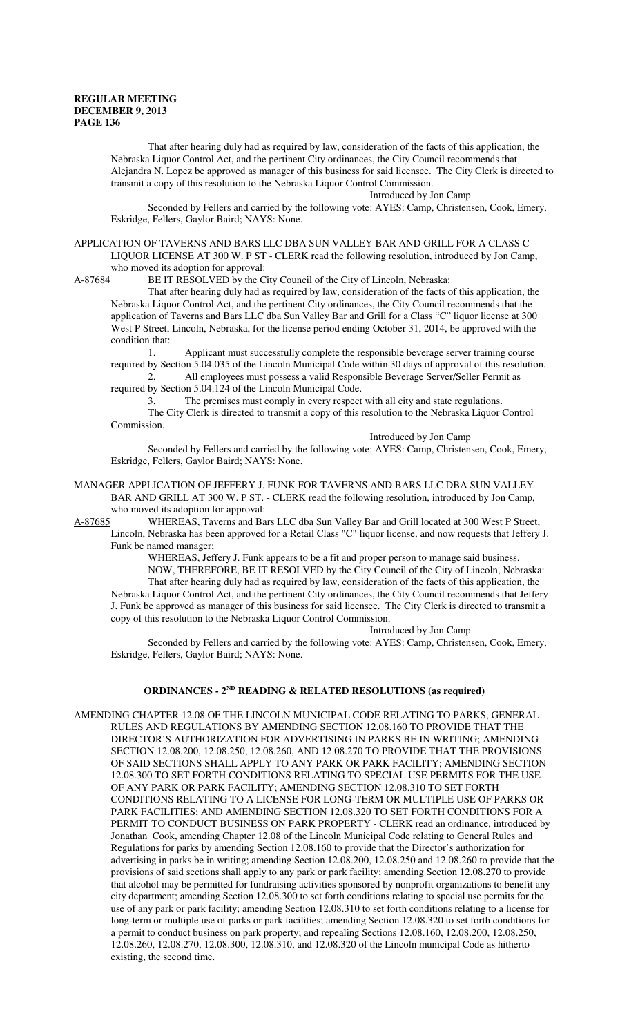That after hearing duly had as required by law, consideration of the facts of this application, the Nebraska Liquor Control Act, and the pertinent City ordinances, the City Council recommends that Alejandra N. Lopez be approved as manager of this business for said licensee. The City Clerk is directed to transmit a copy of this resolution to the Nebraska Liquor Control Commission.

Introduced by Jon Camp

Seconded by Fellers and carried by the following vote: AYES: Camp, Christensen, Cook, Emery, Eskridge, Fellers, Gaylor Baird; NAYS: None.

APPLICATION OF TAVERNS AND BARS LLC DBA SUN VALLEY BAR AND GRILL FOR A CLASS C LIQUOR LICENSE AT 300 W. P ST - CLERK read the following resolution, introduced by Jon Camp, who moved its adoption for approval:

A-87684 BE IT RESOLVED by the City Council of the City of Lincoln, Nebraska:

That after hearing duly had as required by law, consideration of the facts of this application, the Nebraska Liquor Control Act, and the pertinent City ordinances, the City Council recommends that the application of Taverns and Bars LLC dba Sun Valley Bar and Grill for a Class "C" liquor license at 300 West P Street, Lincoln, Nebraska, for the license period ending October 31, 2014, be approved with the condition that:

1. Applicant must successfully complete the responsible beverage server training course required by Section 5.04.035 of the Lincoln Municipal Code within 30 days of approval of this resolution. 2. All employees must possess a valid Responsible Beverage Server/Seller Permit as

required by Section 5.04.124 of the Lincoln Municipal Code.

3. The premises must comply in every respect with all city and state regulations. The City Clerk is directed to transmit a copy of this resolution to the Nebraska Liquor Control Commission.

Introduced by Jon Camp

Seconded by Fellers and carried by the following vote: AYES: Camp, Christensen, Cook, Emery, Eskridge, Fellers, Gaylor Baird; NAYS: None.

MANAGER APPLICATION OF JEFFERY J. FUNK FOR TAVERNS AND BARS LLC DBA SUN VALLEY BAR AND GRILL AT 300 W. P ST. - CLERK read the following resolution, introduced by Jon Camp, who moved its adoption for approval:<br>A-87685 WHEREAS, Taverns and Bar

WHEREAS, Taverns and Bars LLC dba Sun Valley Bar and Grill located at 300 West P Street, Lincoln, Nebraska has been approved for a Retail Class "C" liquor license, and now requests that Jeffery J. Funk be named manager;

WHEREAS, Jeffery J. Funk appears to be a fit and proper person to manage said business. NOW, THEREFORE, BE IT RESOLVED by the City Council of the City of Lincoln, Nebraska: That after hearing duly had as required by law, consideration of the facts of this application, the Nebraska Liquor Control Act, and the pertinent City ordinances, the City Council recommends that Jeffery J. Funk be approved as manager of this business for said licensee. The City Clerk is directed to transmit a copy of this resolution to the Nebraska Liquor Control Commission.

Introduced by Jon Camp

Seconded by Fellers and carried by the following vote: AYES: Camp, Christensen, Cook, Emery, Eskridge, Fellers, Gaylor Baird; NAYS: None.

#### **ORDINANCES - 2ND READING & RELATED RESOLUTIONS (as required)**

AMENDING CHAPTER 12.08 OF THE LINCOLN MUNICIPAL CODE RELATING TO PARKS, GENERAL RULES AND REGULATIONS BY AMENDING SECTION 12.08.160 TO PROVIDE THAT THE DIRECTOR'S AUTHORIZATION FOR ADVERTISING IN PARKS BE IN WRITING; AMENDING SECTION 12.08.200, 12.08.250, 12.08.260, AND 12.08.270 TO PROVIDE THAT THE PROVISIONS OF SAID SECTIONS SHALL APPLY TO ANY PARK OR PARK FACILITY; AMENDING SECTION 12.08.300 TO SET FORTH CONDITIONS RELATING TO SPECIAL USE PERMITS FOR THE USE OF ANY PARK OR PARK FACILITY; AMENDING SECTION 12.08.310 TO SET FORTH CONDITIONS RELATING TO A LICENSE FOR LONG-TERM OR MULTIPLE USE OF PARKS OR PARK FACILITIES; AND AMENDING SECTION 12.08.320 TO SET FORTH CONDITIONS FOR A PERMIT TO CONDUCT BUSINESS ON PARK PROPERTY - CLERK read an ordinance, introduced by Jonathan Cook, amending Chapter 12.08 of the Lincoln Municipal Code relating to General Rules and Regulations for parks by amending Section 12.08.160 to provide that the Director's authorization for advertising in parks be in writing; amending Section 12.08.200, 12.08.250 and 12.08.260 to provide that the provisions of said sections shall apply to any park or park facility; amending Section 12.08.270 to provide that alcohol may be permitted for fundraising activities sponsored by nonprofit organizations to benefit any city department; amending Section 12.08.300 to set forth conditions relating to special use permits for the use of any park or park facility; amending Section 12.08.310 to set forth conditions relating to a license for long-term or multiple use of parks or park facilities; amending Section 12.08.320 to set forth conditions for a permit to conduct business on park property; and repealing Sections 12.08.160, 12.08.200, 12.08.250, 12.08.260, 12.08.270, 12.08.300, 12.08.310, and 12.08.320 of the Lincoln municipal Code as hitherto existing, the second time.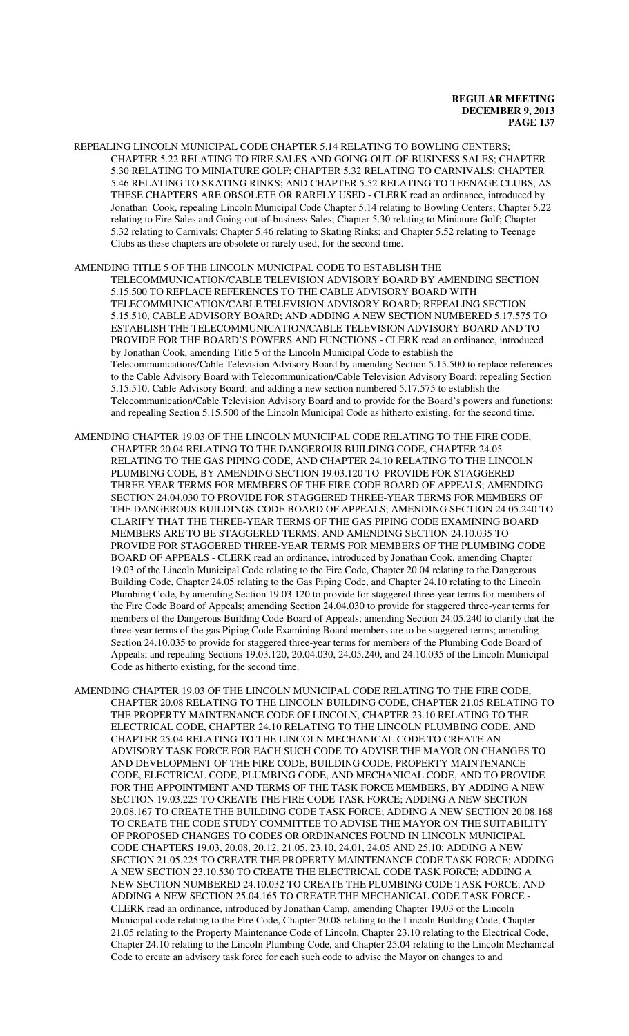REPEALING LINCOLN MUNICIPAL CODE CHAPTER 5.14 RELATING TO BOWLING CENTERS; CHAPTER 5.22 RELATING TO FIRE SALES AND GOING-OUT-OF-BUSINESS SALES; CHAPTER 5.30 RELATING TO MINIATURE GOLF; CHAPTER 5.32 RELATING TO CARNIVALS; CHAPTER 5.46 RELATING TO SKATING RINKS; AND CHAPTER 5.52 RELATING TO TEENAGE CLUBS, AS THESE CHAPTERS ARE OBSOLETE OR RARELY USED - CLERK read an ordinance, introduced by Jonathan Cook, repealing Lincoln Municipal Code Chapter 5.14 relating to Bowling Centers; Chapter 5.22 relating to Fire Sales and Going-out-of-business Sales; Chapter 5.30 relating to Miniature Golf; Chapter 5.32 relating to Carnivals; Chapter 5.46 relating to Skating Rinks; and Chapter 5.52 relating to Teenage Clubs as these chapters are obsolete or rarely used, for the second time.

#### AMENDING TITLE 5 OF THE LINCOLN MUNICIPAL CODE TO ESTABLISH THE

TELECOMMUNICATION/CABLE TELEVISION ADVISORY BOARD BY AMENDING SECTION 5.15.500 TO REPLACE REFERENCES TO THE CABLE ADVISORY BOARD WITH TELECOMMUNICATION/CABLE TELEVISION ADVISORY BOARD; REPEALING SECTION 5.15.510, CABLE ADVISORY BOARD; AND ADDING A NEW SECTION NUMBERED 5.17.575 TO ESTABLISH THE TELECOMMUNICATION/CABLE TELEVISION ADVISORY BOARD AND TO PROVIDE FOR THE BOARD'S POWERS AND FUNCTIONS - CLERK read an ordinance, introduced by Jonathan Cook, amending Title 5 of the Lincoln Municipal Code to establish the Telecommunications/Cable Television Advisory Board by amending Section 5.15.500 to replace references to the Cable Advisory Board with Telecommunication/Cable Television Advisory Board; repealing Section 5.15.510, Cable Advisory Board; and adding a new section numbered 5.17.575 to establish the Telecommunication/Cable Television Advisory Board and to provide for the Board's powers and functions; and repealing Section 5.15.500 of the Lincoln Municipal Code as hitherto existing, for the second time.

AMENDING CHAPTER 19.03 OF THE LINCOLN MUNICIPAL CODE RELATING TO THE FIRE CODE, CHAPTER 20.04 RELATING TO THE DANGEROUS BUILDING CODE, CHAPTER 24.05 RELATING TO THE GAS PIPING CODE, AND CHAPTER 24.10 RELATING TO THE LINCOLN PLUMBING CODE, BY AMENDING SECTION 19.03.120 TO PROVIDE FOR STAGGERED THREE-YEAR TERMS FOR MEMBERS OF THE FIRE CODE BOARD OF APPEALS; AMENDING SECTION 24.04.030 TO PROVIDE FOR STAGGERED THREE-YEAR TERMS FOR MEMBERS OF THE DANGEROUS BUILDINGS CODE BOARD OF APPEALS; AMENDING SECTION 24.05.240 TO CLARIFY THAT THE THREE-YEAR TERMS OF THE GAS PIPING CODE EXAMINING BOARD MEMBERS ARE TO BE STAGGERED TERMS; AND AMENDING SECTION 24.10.035 TO PROVIDE FOR STAGGERED THREE-YEAR TERMS FOR MEMBERS OF THE PLUMBING CODE BOARD OF APPEALS - CLERK read an ordinance, introduced by Jonathan Cook, amending Chapter 19.03 of the Lincoln Municipal Code relating to the Fire Code, Chapter 20.04 relating to the Dangerous Building Code, Chapter 24.05 relating to the Gas Piping Code, and Chapter 24.10 relating to the Lincoln Plumbing Code, by amending Section 19.03.120 to provide for staggered three-year terms for members of the Fire Code Board of Appeals; amending Section 24.04.030 to provide for staggered three-year terms for members of the Dangerous Building Code Board of Appeals; amending Section 24.05.240 to clarify that the three-year terms of the gas Piping Code Examining Board members are to be staggered terms; amending Section 24.10.035 to provide for staggered three-year terms for members of the Plumbing Code Board of Appeals; and repealing Sections 19.03.120, 20.04.030, 24.05.240, and 24.10.035 of the Lincoln Municipal Code as hitherto existing, for the second time.

AMENDING CHAPTER 19.03 OF THE LINCOLN MUNICIPAL CODE RELATING TO THE FIRE CODE, CHAPTER 20.08 RELATING TO THE LINCOLN BUILDING CODE, CHAPTER 21.05 RELATING TO THE PROPERTY MAINTENANCE CODE OF LINCOLN, CHAPTER 23.10 RELATING TO THE ELECTRICAL CODE, CHAPTER 24.10 RELATING TO THE LINCOLN PLUMBING CODE, AND CHAPTER 25.04 RELATING TO THE LINCOLN MECHANICAL CODE TO CREATE AN ADVISORY TASK FORCE FOR EACH SUCH CODE TO ADVISE THE MAYOR ON CHANGES TO AND DEVELOPMENT OF THE FIRE CODE, BUILDING CODE, PROPERTY MAINTENANCE CODE, ELECTRICAL CODE, PLUMBING CODE, AND MECHANICAL CODE, AND TO PROVIDE FOR THE APPOINTMENT AND TERMS OF THE TASK FORCE MEMBERS, BY ADDING A NEW SECTION 19.03.225 TO CREATE THE FIRE CODE TASK FORCE; ADDING A NEW SECTION 20.08.167 TO CREATE THE BUILDING CODE TASK FORCE; ADDING A NEW SECTION 20.08.168 TO CREATE THE CODE STUDY COMMITTEE TO ADVISE THE MAYOR ON THE SUITABILITY OF PROPOSED CHANGES TO CODES OR ORDINANCES FOUND IN LINCOLN MUNICIPAL CODE CHAPTERS 19.03, 20.08, 20.12, 21.05, 23.10, 24.01, 24.05 AND 25.10; ADDING A NEW SECTION 21.05.225 TO CREATE THE PROPERTY MAINTENANCE CODE TASK FORCE; ADDING A NEW SECTION 23.10.530 TO CREATE THE ELECTRICAL CODE TASK FORCE; ADDING A NEW SECTION NUMBERED 24.10.032 TO CREATE THE PLUMBING CODE TASK FORCE; AND ADDING A NEW SECTION 25.04.165 TO CREATE THE MECHANICAL CODE TASK FORCE - CLERK read an ordinance, introduced by Jonathan Camp, amending Chapter 19.03 of the Lincoln Municipal code relating to the Fire Code, Chapter 20.08 relating to the Lincoln Building Code, Chapter 21.05 relating to the Property Maintenance Code of Lincoln, Chapter 23.10 relating to the Electrical Code, Chapter 24.10 relating to the Lincoln Plumbing Code, and Chapter 25.04 relating to the Lincoln Mechanical Code to create an advisory task force for each such code to advise the Mayor on changes to and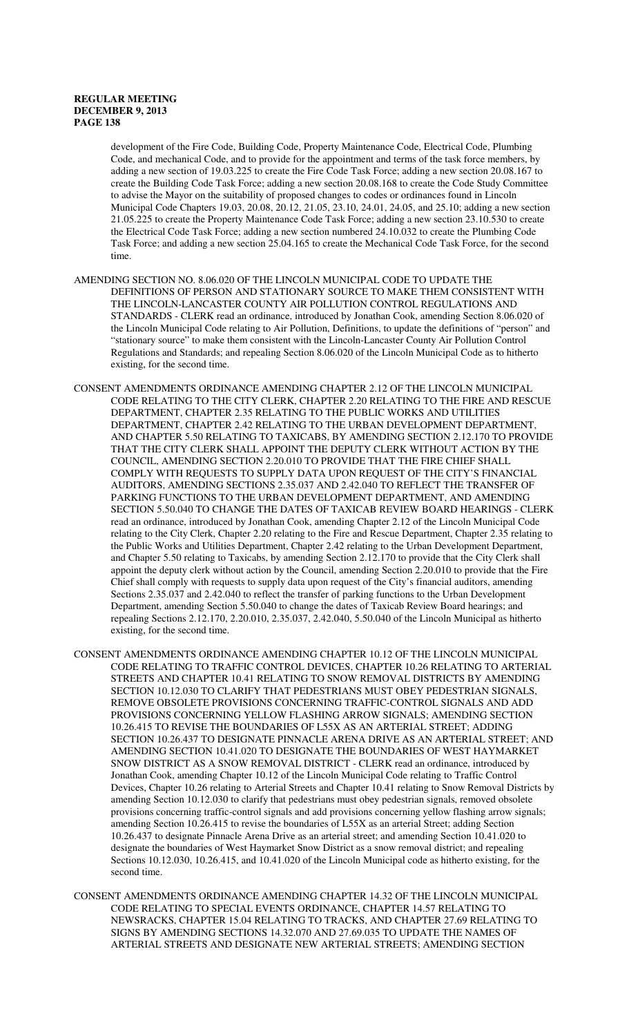development of the Fire Code, Building Code, Property Maintenance Code, Electrical Code, Plumbing Code, and mechanical Code, and to provide for the appointment and terms of the task force members, by adding a new section of 19.03.225 to create the Fire Code Task Force; adding a new section 20.08.167 to create the Building Code Task Force; adding a new section 20.08.168 to create the Code Study Committee to advise the Mayor on the suitability of proposed changes to codes or ordinances found in Lincoln Municipal Code Chapters 19.03, 20.08, 20.12, 21.05, 23.10, 24.01, 24.05, and 25.10; adding a new section 21.05.225 to create the Property Maintenance Code Task Force; adding a new section 23.10.530 to create the Electrical Code Task Force; adding a new section numbered 24.10.032 to create the Plumbing Code Task Force; and adding a new section 25.04.165 to create the Mechanical Code Task Force, for the second time.

- AMENDING SECTION NO. 8.06.020 OF THE LINCOLN MUNICIPAL CODE TO UPDATE THE DEFINITIONS OF PERSON AND STATIONARY SOURCE TO MAKE THEM CONSISTENT WITH THE LINCOLN-LANCASTER COUNTY AIR POLLUTION CONTROL REGULATIONS AND STANDARDS - CLERK read an ordinance, introduced by Jonathan Cook, amending Section 8.06.020 of the Lincoln Municipal Code relating to Air Pollution, Definitions, to update the definitions of "person" and "stationary source" to make them consistent with the Lincoln-Lancaster County Air Pollution Control Regulations and Standards; and repealing Section 8.06.020 of the Lincoln Municipal Code as to hitherto existing, for the second time.
- CONSENT AMENDMENTS ORDINANCE AMENDING CHAPTER 2.12 OF THE LINCOLN MUNICIPAL CODE RELATING TO THE CITY CLERK, CHAPTER 2.20 RELATING TO THE FIRE AND RESCUE DEPARTMENT, CHAPTER 2.35 RELATING TO THE PUBLIC WORKS AND UTILITIES DEPARTMENT, CHAPTER 2.42 RELATING TO THE URBAN DEVELOPMENT DEPARTMENT, AND CHAPTER 5.50 RELATING TO TAXICABS, BY AMENDING SECTION 2.12.170 TO PROVIDE THAT THE CITY CLERK SHALL APPOINT THE DEPUTY CLERK WITHOUT ACTION BY THE COUNCIL, AMENDING SECTION 2.20.010 TO PROVIDE THAT THE FIRE CHIEF SHALL COMPLY WITH REQUESTS TO SUPPLY DATA UPON REQUEST OF THE CITY'S FINANCIAL AUDITORS, AMENDING SECTIONS 2.35.037 AND 2.42.040 TO REFLECT THE TRANSFER OF PARKING FUNCTIONS TO THE URBAN DEVELOPMENT DEPARTMENT, AND AMENDING SECTION 5.50.040 TO CHANGE THE DATES OF TAXICAB REVIEW BOARD HEARINGS - CLERK read an ordinance, introduced by Jonathan Cook, amending Chapter 2.12 of the Lincoln Municipal Code relating to the City Clerk, Chapter 2.20 relating to the Fire and Rescue Department, Chapter 2.35 relating to the Public Works and Utilities Department, Chapter 2.42 relating to the Urban Development Department, and Chapter 5.50 relating to Taxicabs, by amending Section 2.12.170 to provide that the City Clerk shall appoint the deputy clerk without action by the Council, amending Section 2.20.010 to provide that the Fire Chief shall comply with requests to supply data upon request of the City's financial auditors, amending Sections 2.35.037 and 2.42.040 to reflect the transfer of parking functions to the Urban Development Department, amending Section 5.50.040 to change the dates of Taxicab Review Board hearings; and repealing Sections 2.12.170, 2.20.010, 2.35.037, 2.42.040, 5.50.040 of the Lincoln Municipal as hitherto existing, for the second time.
- CONSENT AMENDMENTS ORDINANCE AMENDING CHAPTER 10.12 OF THE LINCOLN MUNICIPAL CODE RELATING TO TRAFFIC CONTROL DEVICES, CHAPTER 10.26 RELATING TO ARTERIAL STREETS AND CHAPTER 10.41 RELATING TO SNOW REMOVAL DISTRICTS BY AMENDING SECTION 10.12.030 TO CLARIFY THAT PEDESTRIANS MUST OBEY PEDESTRIAN SIGNALS, REMOVE OBSOLETE PROVISIONS CONCERNING TRAFFIC-CONTROL SIGNALS AND ADD PROVISIONS CONCERNING YELLOW FLASHING ARROW SIGNALS; AMENDING SECTION 10.26.415 TO REVISE THE BOUNDARIES OF L55X AS AN ARTERIAL STREET; ADDING SECTION 10.26.437 TO DESIGNATE PINNACLE ARENA DRIVE AS AN ARTERIAL STREET; AND AMENDING SECTION 10.41.020 TO DESIGNATE THE BOUNDARIES OF WEST HAYMARKET SNOW DISTRICT AS A SNOW REMOVAL DISTRICT - CLERK read an ordinance, introduced by Jonathan Cook, amending Chapter 10.12 of the Lincoln Municipal Code relating to Traffic Control Devices, Chapter 10.26 relating to Arterial Streets and Chapter 10.41 relating to Snow Removal Districts by amending Section 10.12.030 to clarify that pedestrians must obey pedestrian signals, removed obsolete provisions concerning traffic-control signals and add provisions concerning yellow flashing arrow signals; amending Section 10.26.415 to revise the boundaries of L55X as an arterial Street; adding Section 10.26.437 to designate Pinnacle Arena Drive as an arterial street; and amending Section 10.41.020 to designate the boundaries of West Haymarket Snow District as a snow removal district; and repealing Sections 10.12.030, 10.26.415, and 10.41.020 of the Lincoln Municipal code as hitherto existing, for the second time.
- CONSENT AMENDMENTS ORDINANCE AMENDING CHAPTER 14.32 OF THE LINCOLN MUNICIPAL CODE RELATING TO SPECIAL EVENTS ORDINANCE, CHAPTER 14.57 RELATING TO NEWSRACKS, CHAPTER 15.04 RELATING TO TRACKS, AND CHAPTER 27.69 RELATING TO SIGNS BY AMENDING SECTIONS 14.32.070 AND 27.69.035 TO UPDATE THE NAMES OF ARTERIAL STREETS AND DESIGNATE NEW ARTERIAL STREETS; AMENDING SECTION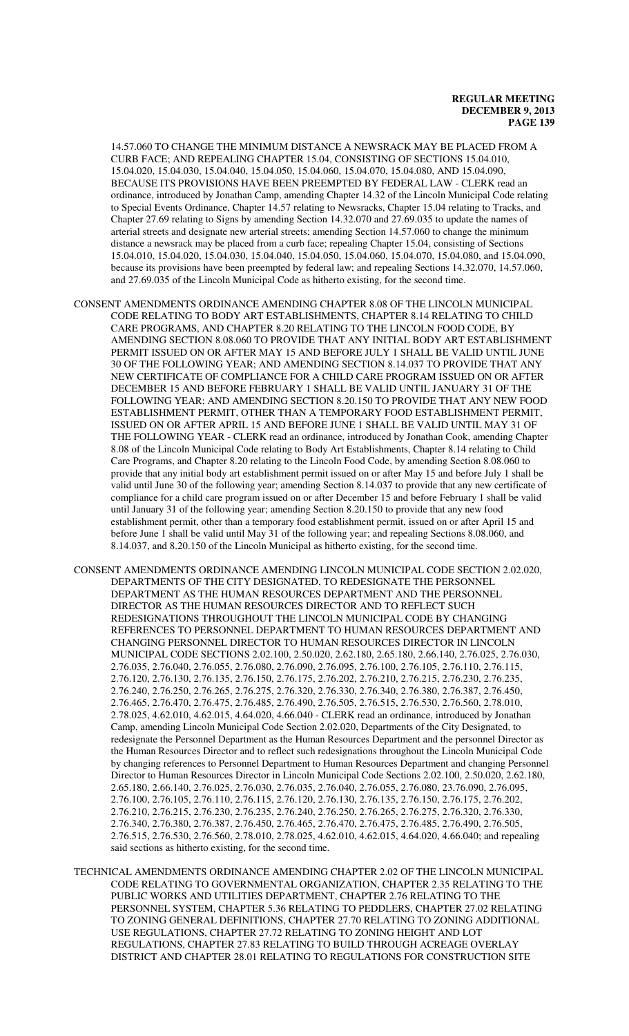14.57.060 TO CHANGE THE MINIMUM DISTANCE A NEWSRACK MAY BE PLACED FROM A CURB FACE; AND REPEALING CHAPTER 15.04, CONSISTING OF SECTIONS 15.04.010, 15.04.020, 15.04.030, 15.04.040, 15.04.050, 15.04.060, 15.04.070, 15.04.080, AND 15.04.090, BECAUSE ITS PROVISIONS HAVE BEEN PREEMPTED BY FEDERAL LAW - CLERK read an ordinance, introduced by Jonathan Camp, amending Chapter 14.32 of the Lincoln Municipal Code relating to Special Events Ordinance, Chapter 14.57 relating to Newsracks, Chapter 15.04 relating to Tracks, and Chapter 27.69 relating to Signs by amending Section 14.32.070 and 27.69.035 to update the names of arterial streets and designate new arterial streets; amending Section 14.57.060 to change the minimum distance a newsrack may be placed from a curb face; repealing Chapter 15.04, consisting of Sections 15.04.010, 15.04.020, 15.04.030, 15.04.040, 15.04.050, 15.04.060, 15.04.070, 15.04.080, and 15.04.090, because its provisions have been preempted by federal law; and repealing Sections 14.32.070, 14.57.060, and 27.69.035 of the Lincoln Municipal Code as hitherto existing, for the second time.

CONSENT AMENDMENTS ORDINANCE AMENDING CHAPTER 8.08 OF THE LINCOLN MUNICIPAL CODE RELATING TO BODY ART ESTABLISHMENTS, CHAPTER 8.14 RELATING TO CHILD CARE PROGRAMS, AND CHAPTER 8.20 RELATING TO THE LINCOLN FOOD CODE, BY AMENDING SECTION 8.08.060 TO PROVIDE THAT ANY INITIAL BODY ART ESTABLISHMENT PERMIT ISSUED ON OR AFTER MAY 15 AND BEFORE JULY 1 SHALL BE VALID UNTIL JUNE 30 OF THE FOLLOWING YEAR; AND AMENDING SECTION 8.14.037 TO PROVIDE THAT ANY NEW CERTIFICATE OF COMPLIANCE FOR A CHILD CARE PROGRAM ISSUED ON OR AFTER DECEMBER 15 AND BEFORE FEBRUARY 1 SHALL BE VALID UNTIL JANUARY 31 OF THE FOLLOWING YEAR; AND AMENDING SECTION 8.20.150 TO PROVIDE THAT ANY NEW FOOD ESTABLISHMENT PERMIT, OTHER THAN A TEMPORARY FOOD ESTABLISHMENT PERMIT, ISSUED ON OR AFTER APRIL 15 AND BEFORE JUNE 1 SHALL BE VALID UNTIL MAY 31 OF THE FOLLOWING YEAR - CLERK read an ordinance, introduced by Jonathan Cook, amending Chapter 8.08 of the Lincoln Municipal Code relating to Body Art Establishments, Chapter 8.14 relating to Child Care Programs, and Chapter 8.20 relating to the Lincoln Food Code, by amending Section 8.08.060 to provide that any initial body art establishment permit issued on or after May 15 and before July 1 shall be valid until June 30 of the following year; amending Section 8.14.037 to provide that any new certificate of compliance for a child care program issued on or after December 15 and before February 1 shall be valid until January 31 of the following year; amending Section 8.20.150 to provide that any new food establishment permit, other than a temporary food establishment permit, issued on or after April 15 and before June 1 shall be valid until May 31 of the following year; and repealing Sections 8.08.060, and 8.14.037, and 8.20.150 of the Lincoln Municipal as hitherto existing, for the second time.

CONSENT AMENDMENTS ORDINANCE AMENDING LINCOLN MUNICIPAL CODE SECTION 2.02.020, DEPARTMENTS OF THE CITY DESIGNATED, TO REDESIGNATE THE PERSONNEL DEPARTMENT AS THE HUMAN RESOURCES DEPARTMENT AND THE PERSONNEL DIRECTOR AS THE HUMAN RESOURCES DIRECTOR AND TO REFLECT SUCH REDESIGNATIONS THROUGHOUT THE LINCOLN MUNICIPAL CODE BY CHANGING REFERENCES TO PERSONNEL DEPARTMENT TO HUMAN RESOURCES DEPARTMENT AND CHANGING PERSONNEL DIRECTOR TO HUMAN RESOURCES DIRECTOR IN LINCOLN MUNICIPAL CODE SECTIONS 2.02.100, 2.50.020, 2.62.180, 2.65.180, 2.66.140, 2.76.025, 2.76.030, 2.76.035, 2.76.040, 2.76.055, 2.76.080, 2.76.090, 2.76.095, 2.76.100, 2.76.105, 2.76.110, 2.76.115, 2.76.120, 2.76.130, 2.76.135, 2.76.150, 2.76.175, 2.76.202, 2.76.210, 2.76.215, 2.76.230, 2.76.235, 2.76.240, 2.76.250, 2.76.265, 2.76.275, 2.76.320, 2.76.330, 2.76.340, 2.76.380, 2.76.387, 2.76.450, 2.76.465, 2.76.470, 2.76.475, 2.76.485, 2.76.490, 2.76.505, 2.76.515, 2.76.530, 2.76.560, 2.78.010, 2.78.025, 4.62.010, 4.62.015, 4.64.020, 4.66.040 - CLERK read an ordinance, introduced by Jonathan Camp, amending Lincoln Municipal Code Section 2.02.020, Departments of the City Designated, to redesignate the Personnel Department as the Human Resources Department and the personnel Director as the Human Resources Director and to reflect such redesignations throughout the Lincoln Municipal Code by changing references to Personnel Department to Human Resources Department and changing Personnel Director to Human Resources Director in Lincoln Municipal Code Sections 2.02.100, 2.50.020, 2.62.180, 2.65.180, 2.66.140, 2.76.025, 2.76.030, 2.76.035, 2.76.040, 2.76.055, 2.76.080, 23.76.090, 2.76.095, 2.76.100, 2.76.105, 2.76.110, 2.76.115, 2.76.120, 2.76.130, 2.76.135, 2.76.150, 2.76.175, 2.76.202, 2.76.210, 2.76.215, 2.76.230, 2.76.235, 2.76.240, 2.76.250, 2.76.265, 2.76.275, 2.76.320, 2.76.330, 2.76.340, 2.76.380, 2.76.387, 2.76.450, 2.76.465, 2.76.470, 2.76.475, 2.76.485, 2.76.490, 2.76.505, 2.76.515, 2.76.530, 2.76.560, 2.78.010, 2.78.025, 4.62.010, 4.62.015, 4.64.020, 4.66.040; and repealing said sections as hitherto existing, for the second time.

TECHNICAL AMENDMENTS ORDINANCE AMENDING CHAPTER 2.02 OF THE LINCOLN MUNICIPAL CODE RELATING TO GOVERNMENTAL ORGANIZATION, CHAPTER 2.35 RELATING TO THE PUBLIC WORKS AND UTILITIES DEPARTMENT, CHAPTER 2.76 RELATING TO THE PERSONNEL SYSTEM, CHAPTER 5.36 RELATING TO PEDDLERS, CHAPTER 27.02 RELATING TO ZONING GENERAL DEFINITIONS, CHAPTER 27.70 RELATING TO ZONING ADDITIONAL USE REGULATIONS, CHAPTER 27.72 RELATING TO ZONING HEIGHT AND LOT REGULATIONS, CHAPTER 27.83 RELATING TO BUILD THROUGH ACREAGE OVERLAY DISTRICT AND CHAPTER 28.01 RELATING TO REGULATIONS FOR CONSTRUCTION SITE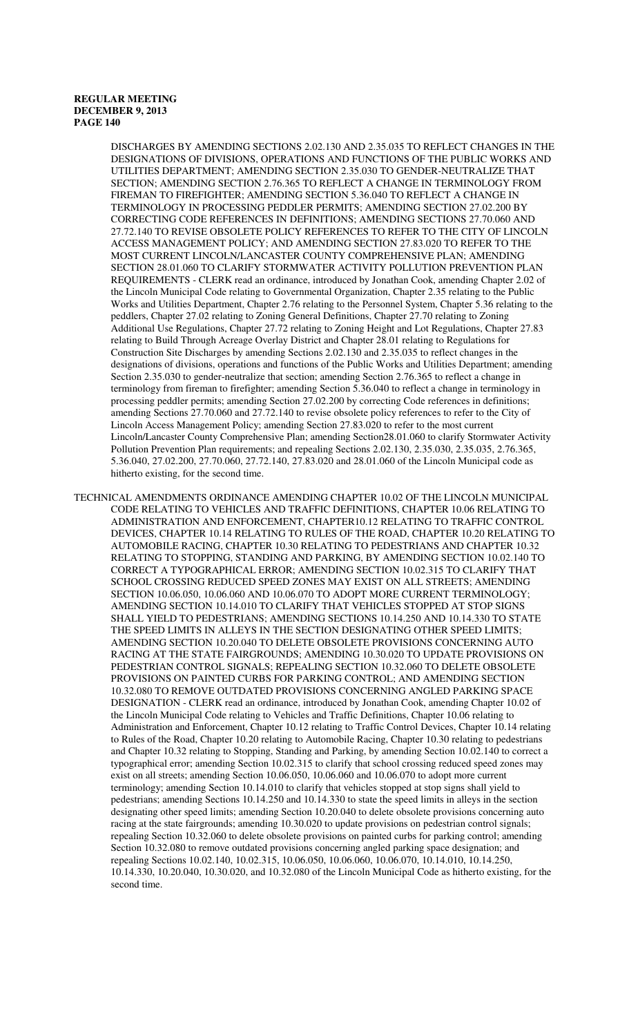DISCHARGES BY AMENDING SECTIONS 2.02.130 AND 2.35.035 TO REFLECT CHANGES IN THE DESIGNATIONS OF DIVISIONS, OPERATIONS AND FUNCTIONS OF THE PUBLIC WORKS AND UTILITIES DEPARTMENT; AMENDING SECTION 2.35.030 TO GENDER-NEUTRALIZE THAT SECTION; AMENDING SECTION 2.76.365 TO REFLECT A CHANGE IN TERMINOLOGY FROM FIREMAN TO FIREFIGHTER; AMENDING SECTION 5.36.040 TO REFLECT A CHANGE IN TERMINOLOGY IN PROCESSING PEDDLER PERMITS; AMENDING SECTION 27.02.200 BY CORRECTING CODE REFERENCES IN DEFINITIONS; AMENDING SECTIONS 27.70.060 AND 27.72.140 TO REVISE OBSOLETE POLICY REFERENCES TO REFER TO THE CITY OF LINCOLN ACCESS MANAGEMENT POLICY; AND AMENDING SECTION 27.83.020 TO REFER TO THE MOST CURRENT LINCOLN/LANCASTER COUNTY COMPREHENSIVE PLAN; AMENDING SECTION 28.01.060 TO CLARIFY STORMWATER ACTIVITY POLLUTION PREVENTION PLAN REQUIREMENTS - CLERK read an ordinance, introduced by Jonathan Cook, amending Chapter 2.02 of the Lincoln Municipal Code relating to Governmental Organization, Chapter 2.35 relating to the Public Works and Utilities Department, Chapter 2.76 relating to the Personnel System, Chapter 5.36 relating to the peddlers, Chapter 27.02 relating to Zoning General Definitions, Chapter 27.70 relating to Zoning Additional Use Regulations, Chapter 27.72 relating to Zoning Height and Lot Regulations, Chapter 27.83 relating to Build Through Acreage Overlay District and Chapter 28.01 relating to Regulations for Construction Site Discharges by amending Sections 2.02.130 and 2.35.035 to reflect changes in the designations of divisions, operations and functions of the Public Works and Utilities Department; amending Section 2.35.030 to gender-neutralize that section; amending Section 2.76.365 to reflect a change in terminology from fireman to firefighter; amending Section 5.36.040 to reflect a change in terminology in processing peddler permits; amending Section 27.02.200 by correcting Code references in definitions; amending Sections 27.70.060 and 27.72.140 to revise obsolete policy references to refer to the City of Lincoln Access Management Policy; amending Section 27.83.020 to refer to the most current Lincoln/Lancaster County Comprehensive Plan; amending Section28.01.060 to clarify Stormwater Activity Pollution Prevention Plan requirements; and repealing Sections 2.02.130, 2.35.030, 2.35.035, 2.76.365, 5.36.040, 27.02.200, 27.70.060, 27.72.140, 27.83.020 and 28.01.060 of the Lincoln Municipal code as hitherto existing, for the second time.

TECHNICAL AMENDMENTS ORDINANCE AMENDING CHAPTER 10.02 OF THE LINCOLN MUNICIPAL CODE RELATING TO VEHICLES AND TRAFFIC DEFINITIONS, CHAPTER 10.06 RELATING TO ADMINISTRATION AND ENFORCEMENT, CHAPTER10.12 RELATING TO TRAFFIC CONTROL DEVICES, CHAPTER 10.14 RELATING TO RULES OF THE ROAD, CHAPTER 10.20 RELATING TO AUTOMOBILE RACING, CHAPTER 10.30 RELATING TO PEDESTRIANS AND CHAPTER 10.32 RELATING TO STOPPING, STANDING AND PARKING, BY AMENDING SECTION 10.02.140 TO CORRECT A TYPOGRAPHICAL ERROR; AMENDING SECTION 10.02.315 TO CLARIFY THAT SCHOOL CROSSING REDUCED SPEED ZONES MAY EXIST ON ALL STREETS; AMENDING SECTION 10.06.050, 10.06.060 AND 10.06.070 TO ADOPT MORE CURRENT TERMINOLOGY; AMENDING SECTION 10.14.010 TO CLARIFY THAT VEHICLES STOPPED AT STOP SIGNS SHALL YIELD TO PEDESTRIANS; AMENDING SECTIONS 10.14.250 AND 10.14.330 TO STATE THE SPEED LIMITS IN ALLEYS IN THE SECTION DESIGNATING OTHER SPEED LIMITS; AMENDING SECTION 10.20.040 TO DELETE OBSOLETE PROVISIONS CONCERNING AUTO RACING AT THE STATE FAIRGROUNDS; AMENDING 10.30.020 TO UPDATE PROVISIONS ON PEDESTRIAN CONTROL SIGNALS; REPEALING SECTION 10.32.060 TO DELETE OBSOLETE PROVISIONS ON PAINTED CURBS FOR PARKING CONTROL; AND AMENDING SECTION 10.32.080 TO REMOVE OUTDATED PROVISIONS CONCERNING ANGLED PARKING SPACE DESIGNATION - CLERK read an ordinance, introduced by Jonathan Cook, amending Chapter 10.02 of the Lincoln Municipal Code relating to Vehicles and Traffic Definitions, Chapter 10.06 relating to Administration and Enforcement, Chapter 10.12 relating to Traffic Control Devices, Chapter 10.14 relating to Rules of the Road, Chapter 10.20 relating to Automobile Racing, Chapter 10.30 relating to pedestrians and Chapter 10.32 relating to Stopping, Standing and Parking, by amending Section 10.02.140 to correct a typographical error; amending Section 10.02.315 to clarify that school crossing reduced speed zones may exist on all streets; amending Section 10.06.050, 10.06.060 and 10.06.070 to adopt more current terminology; amending Section 10.14.010 to clarify that vehicles stopped at stop signs shall yield to pedestrians; amending Sections 10.14.250 and 10.14.330 to state the speed limits in alleys in the section designating other speed limits; amending Section 10.20.040 to delete obsolete provisions concerning auto racing at the state fairgrounds; amending 10.30.020 to update provisions on pedestrian control signals; repealing Section 10.32.060 to delete obsolete provisions on painted curbs for parking control; amending Section 10.32.080 to remove outdated provisions concerning angled parking space designation; and repealing Sections 10.02.140, 10.02.315, 10.06.050, 10.06.060, 10.06.070, 10.14.010, 10.14.250, 10.14.330, 10.20.040, 10.30.020, and 10.32.080 of the Lincoln Municipal Code as hitherto existing, for the second time.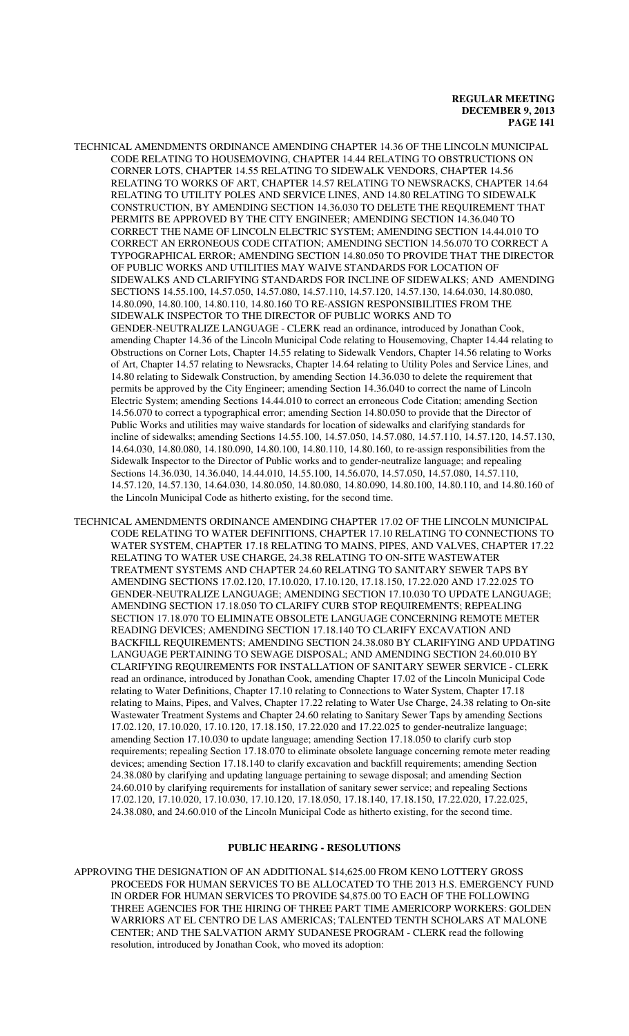- TECHNICAL AMENDMENTS ORDINANCE AMENDING CHAPTER 14.36 OF THE LINCOLN MUNICIPAL CODE RELATING TO HOUSEMOVING, CHAPTER 14.44 RELATING TO OBSTRUCTIONS ON CORNER LOTS, CHAPTER 14.55 RELATING TO SIDEWALK VENDORS, CHAPTER 14.56 RELATING TO WORKS OF ART, CHAPTER 14.57 RELATING TO NEWSRACKS, CHAPTER 14.64 RELATING TO UTILITY POLES AND SERVICE LINES, AND 14.80 RELATING TO SIDEWALK CONSTRUCTION, BY AMENDING SECTION 14.36.030 TO DELETE THE REQUIREMENT THAT PERMITS BE APPROVED BY THE CITY ENGINEER; AMENDING SECTION 14.36.040 TO CORRECT THE NAME OF LINCOLN ELECTRIC SYSTEM; AMENDING SECTION 14.44.010 TO CORRECT AN ERRONEOUS CODE CITATION; AMENDING SECTION 14.56.070 TO CORRECT A TYPOGRAPHICAL ERROR; AMENDING SECTION 14.80.050 TO PROVIDE THAT THE DIRECTOR OF PUBLIC WORKS AND UTILITIES MAY WAIVE STANDARDS FOR LOCATION OF SIDEWALKS AND CLARIFYING STANDARDS FOR INCLINE OF SIDEWALKS; AND AMENDING SECTIONS 14.55.100, 14.57.050, 14.57.080, 14.57.110, 14.57.120, 14.57.130, 14.64.030, 14.80.080, 14.80.090, 14.80.100, 14.80.110, 14.80.160 TO RE-ASSIGN RESPONSIBILITIES FROM THE SIDEWALK INSPECTOR TO THE DIRECTOR OF PUBLIC WORKS AND TO GENDER-NEUTRALIZE LANGUAGE - CLERK read an ordinance, introduced by Jonathan Cook, amending Chapter 14.36 of the Lincoln Municipal Code relating to Housemoving, Chapter 14.44 relating to Obstructions on Corner Lots, Chapter 14.55 relating to Sidewalk Vendors, Chapter 14.56 relating to Works of Art, Chapter 14.57 relating to Newsracks, Chapter 14.64 relating to Utility Poles and Service Lines, and 14.80 relating to Sidewalk Construction, by amending Section 14.36.030 to delete the requirement that permits be approved by the City Engineer; amending Section 14.36.040 to correct the name of Lincoln Electric System; amending Sections 14.44.010 to correct an erroneous Code Citation; amending Section 14.56.070 to correct a typographical error; amending Section 14.80.050 to provide that the Director of Public Works and utilities may waive standards for location of sidewalks and clarifying standards for incline of sidewalks; amending Sections 14.55.100, 14.57.050, 14.57.080, 14.57.110, 14.57.120, 14.57.130, 14.64.030, 14.80.080, 14.180.090, 14.80.100, 14.80.110, 14.80.160, to re-assign responsibilities from the Sidewalk Inspector to the Director of Public works and to gender-neutralize language; and repealing Sections 14.36.030, 14.36.040, 14.44.010, 14.55.100, 14.56.070, 14.57.050, 14.57.080, 14.57.110, 14.57.120, 14.57.130, 14.64.030, 14.80.050, 14.80.080, 14.80.090, 14.80.100, 14.80.110, and 14.80.160 of the Lincoln Municipal Code as hitherto existing, for the second time.
- TECHNICAL AMENDMENTS ORDINANCE AMENDING CHAPTER 17.02 OF THE LINCOLN MUNICIPAL CODE RELATING TO WATER DEFINITIONS, CHAPTER 17.10 RELATING TO CONNECTIONS TO WATER SYSTEM, CHAPTER 17.18 RELATING TO MAINS, PIPES, AND VALVES, CHAPTER 17.22 RELATING TO WATER USE CHARGE, 24.38 RELATING TO ON-SITE WASTEWATER TREATMENT SYSTEMS AND CHAPTER 24.60 RELATING TO SANITARY SEWER TAPS BY AMENDING SECTIONS 17.02.120, 17.10.020, 17.10.120, 17.18.150, 17.22.020 AND 17.22.025 TO GENDER-NEUTRALIZE LANGUAGE; AMENDING SECTION 17.10.030 TO UPDATE LANGUAGE; AMENDING SECTION 17.18.050 TO CLARIFY CURB STOP REQUIREMENTS; REPEALING SECTION 17.18.070 TO ELIMINATE OBSOLETE LANGUAGE CONCERNING REMOTE METER READING DEVICES; AMENDING SECTION 17.18.140 TO CLARIFY EXCAVATION AND BACKFILL REQUIREMENTS; AMENDING SECTION 24.38.080 BY CLARIFYING AND UPDATING LANGUAGE PERTAINING TO SEWAGE DISPOSAL; AND AMENDING SECTION 24.60.010 BY CLARIFYING REQUIREMENTS FOR INSTALLATION OF SANITARY SEWER SERVICE - CLERK read an ordinance, introduced by Jonathan Cook, amending Chapter 17.02 of the Lincoln Municipal Code relating to Water Definitions, Chapter 17.10 relating to Connections to Water System, Chapter 17.18 relating to Mains, Pipes, and Valves, Chapter 17.22 relating to Water Use Charge, 24.38 relating to On-site Wastewater Treatment Systems and Chapter 24.60 relating to Sanitary Sewer Taps by amending Sections 17.02.120, 17.10.020, 17.10.120, 17.18.150, 17.22.020 and 17.22.025 to gender-neutralize language; amending Section 17.10.030 to update language; amending Section 17.18.050 to clarify curb stop requirements; repealing Section 17.18.070 to eliminate obsolete language concerning remote meter reading devices; amending Section 17.18.140 to clarify excavation and backfill requirements; amending Section 24.38.080 by clarifying and updating language pertaining to sewage disposal; and amending Section 24.60.010 by clarifying requirements for installation of sanitary sewer service; and repealing Sections 17.02.120, 17.10.020, 17.10.030, 17.10.120, 17.18.050, 17.18.140, 17.18.150, 17.22.020, 17.22.025, 24.38.080, and 24.60.010 of the Lincoln Municipal Code as hitherto existing, for the second time.

#### **PUBLIC HEARING - RESOLUTIONS**

APPROVING THE DESIGNATION OF AN ADDITIONAL \$14,625.00 FROM KENO LOTTERY GROSS PROCEEDS FOR HUMAN SERVICES TO BE ALLOCATED TO THE 2013 H.S. EMERGENCY FUND IN ORDER FOR HUMAN SERVICES TO PROVIDE \$4,875.00 TO EACH OF THE FOLLOWING THREE AGENCIES FOR THE HIRING OF THREE PART TIME AMERICORP WORKERS: GOLDEN WARRIORS AT EL CENTRO DE LAS AMERICAS; TALENTED TENTH SCHOLARS AT MALONE CENTER; AND THE SALVATION ARMY SUDANESE PROGRAM - CLERK read the following resolution, introduced by Jonathan Cook, who moved its adoption: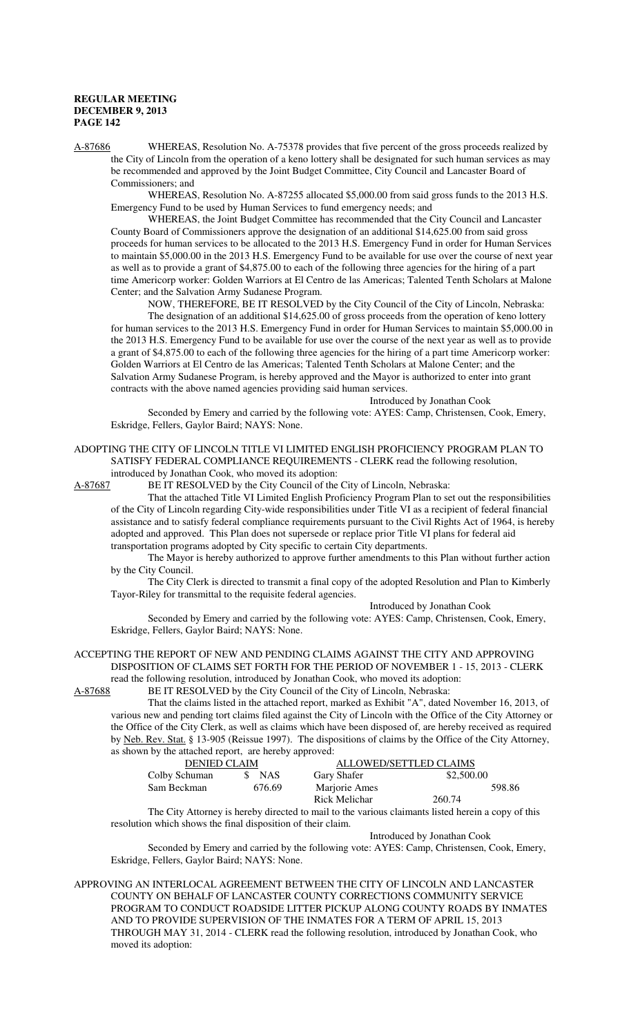A-87686 WHEREAS, Resolution No. A-75378 provides that five percent of the gross proceeds realized by the City of Lincoln from the operation of a keno lottery shall be designated for such human services as may be recommended and approved by the Joint Budget Committee, City Council and Lancaster Board of Commissioners; and

WHEREAS, Resolution No. A-87255 allocated \$5,000.00 from said gross funds to the 2013 H.S. Emergency Fund to be used by Human Services to fund emergency needs; and

WHEREAS, the Joint Budget Committee has recommended that the City Council and Lancaster County Board of Commissioners approve the designation of an additional \$14,625.00 from said gross proceeds for human services to be allocated to the 2013 H.S. Emergency Fund in order for Human Services to maintain \$5,000.00 in the 2013 H.S. Emergency Fund to be available for use over the course of next year as well as to provide a grant of \$4,875.00 to each of the following three agencies for the hiring of a part time Americorp worker: Golden Warriors at El Centro de las Americas; Talented Tenth Scholars at Malone Center; and the Salvation Army Sudanese Program.

NOW, THEREFORE, BE IT RESOLVED by the City Council of the City of Lincoln, Nebraska: The designation of an additional \$14,625.00 of gross proceeds from the operation of keno lottery for human services to the 2013 H.S. Emergency Fund in order for Human Services to maintain \$5,000.00 in the 2013 H.S. Emergency Fund to be available for use over the course of the next year as well as to provide a grant of \$4,875.00 to each of the following three agencies for the hiring of a part time Americorp worker: Golden Warriors at El Centro de las Americas; Talented Tenth Scholars at Malone Center; and the Salvation Army Sudanese Program, is hereby approved and the Mayor is authorized to enter into grant contracts with the above named agencies providing said human services.

Introduced by Jonathan Cook

Seconded by Emery and carried by the following vote: AYES: Camp, Christensen, Cook, Emery, Eskridge, Fellers, Gaylor Baird; NAYS: None.

# ADOPTING THE CITY OF LINCOLN TITLE VI LIMITED ENGLISH PROFICIENCY PROGRAM PLAN TO SATISFY FEDERAL COMPLIANCE REQUIREMENTS - CLERK read the following resolution,

introduced by Jonathan Cook, who moved its adoption:

A-87687 BE IT RESOLVED by the City Council of the City of Lincoln, Nebraska:

That the attached Title VI Limited English Proficiency Program Plan to set out the responsibilities of the City of Lincoln regarding City-wide responsibilities under Title VI as a recipient of federal financial assistance and to satisfy federal compliance requirements pursuant to the Civil Rights Act of 1964, is hereby adopted and approved. This Plan does not supersede or replace prior Title VI plans for federal aid transportation programs adopted by City specific to certain City departments.

The Mayor is hereby authorized to approve further amendments to this Plan without further action by the City Council.

The City Clerk is directed to transmit a final copy of the adopted Resolution and Plan to Kimberly Tayor-Riley for transmittal to the requisite federal agencies.

Introduced by Jonathan Cook

Seconded by Emery and carried by the following vote: AYES: Camp, Christensen, Cook, Emery, Eskridge, Fellers, Gaylor Baird; NAYS: None.

#### ACCEPTING THE REPORT OF NEW AND PENDING CLAIMS AGAINST THE CITY AND APPROVING DISPOSITION OF CLAIMS SET FORTH FOR THE PERIOD OF NOVEMBER 1 - 15, 2013 - CLERK read the following resolution, introduced by Jonathan Cook, who moved its adoption:

A-87688 BE IT RESOLVED by the City Council of the City of Lincoln, Nebraska:

That the claims listed in the attached report, marked as Exhibit "A", dated November 16, 2013, of various new and pending tort claims filed against the City of Lincoln with the Office of the City Attorney or the Office of the City Clerk, as well as claims which have been disposed of, are hereby received as required by Neb. Rev. Stat. § 13-905 (Reissue 1997). The dispositions of claims by the Office of the City Attorney, as shown by the attached report, are hereby approved:

| DENIED CLAIM  |                   | ALLOWED/SETTLED CLAIMS |            |        |
|---------------|-------------------|------------------------|------------|--------|
| Colby Schuman | <b>NAS</b><br>SS. | Gary Shafer            | \$2,500.00 |        |
| Sam Beckman   | 676.69            | Marjorie Ames          |            | 598.86 |
|               |                   | Rick Melichar          | 260.74     |        |

The City Attorney is hereby directed to mail to the various claimants listed herein a copy of this resolution which shows the final disposition of their claim.

Introduced by Jonathan Cook

Seconded by Emery and carried by the following vote: AYES: Camp, Christensen, Cook, Emery, Eskridge, Fellers, Gaylor Baird; NAYS: None.

APPROVING AN INTERLOCAL AGREEMENT BETWEEN THE CITY OF LINCOLN AND LANCASTER COUNTY ON BEHALF OF LANCASTER COUNTY CORRECTIONS COMMUNITY SERVICE PROGRAM TO CONDUCT ROADSIDE LITTER PICKUP ALONG COUNTY ROADS BY INMATES AND TO PROVIDE SUPERVISION OF THE INMATES FOR A TERM OF APRIL 15, 2013 THROUGH MAY 31, 2014 - CLERK read the following resolution, introduced by Jonathan Cook, who moved its adoption: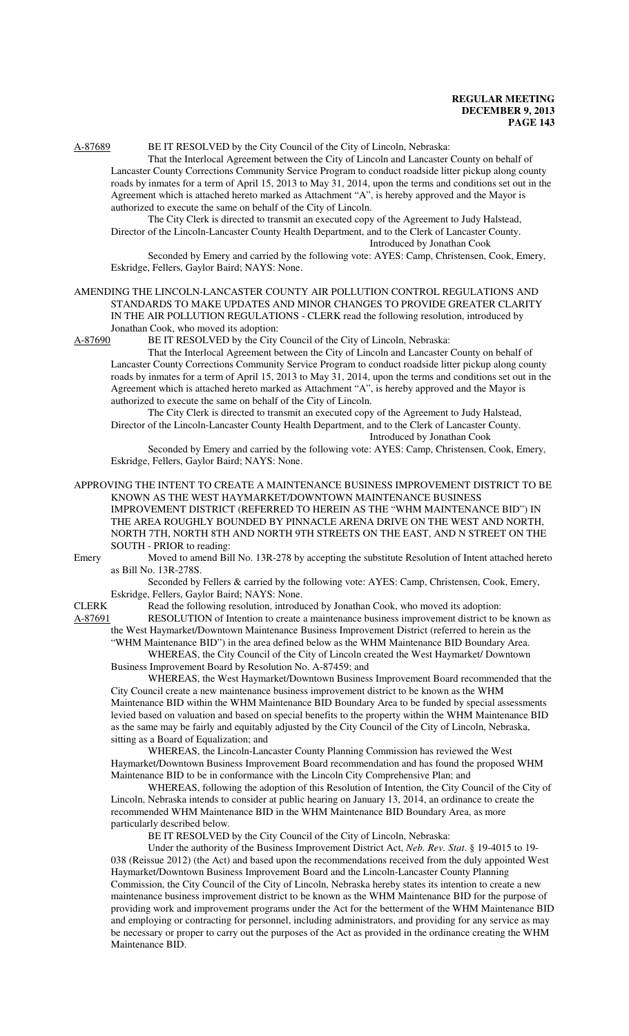A-87689 BE IT RESOLVED by the City Council of the City of Lincoln, Nebraska:

That the Interlocal Agreement between the City of Lincoln and Lancaster County on behalf of Lancaster County Corrections Community Service Program to conduct roadside litter pickup along county roads by inmates for a term of April 15, 2013 to May 31, 2014, upon the terms and conditions set out in the Agreement which is attached hereto marked as Attachment "A", is hereby approved and the Mayor is authorized to execute the same on behalf of the City of Lincoln.

The City Clerk is directed to transmit an executed copy of the Agreement to Judy Halstead, Director of the Lincoln-Lancaster County Health Department, and to the Clerk of Lancaster County. Introduced by Jonathan Cook

Seconded by Emery and carried by the following vote: AYES: Camp, Christensen, Cook, Emery, Eskridge, Fellers, Gaylor Baird; NAYS: None.

AMENDING THE LINCOLN-LANCASTER COUNTY AIR POLLUTION CONTROL REGULATIONS AND STANDARDS TO MAKE UPDATES AND MINOR CHANGES TO PROVIDE GREATER CLARITY IN THE AIR POLLUTION REGULATIONS - CLERK read the following resolution, introduced by Jonathan Cook, who moved its adoption:

A-87690 BE IT RESOLVED by the City Council of the City of Lincoln, Nebraska:

That the Interlocal Agreement between the City of Lincoln and Lancaster County on behalf of Lancaster County Corrections Community Service Program to conduct roadside litter pickup along county roads by inmates for a term of April 15, 2013 to May 31, 2014, upon the terms and conditions set out in the Agreement which is attached hereto marked as Attachment "A", is hereby approved and the Mayor is authorized to execute the same on behalf of the City of Lincoln.

The City Clerk is directed to transmit an executed copy of the Agreement to Judy Halstead, Director of the Lincoln-Lancaster County Health Department, and to the Clerk of Lancaster County. Introduced by Jonathan Cook

Seconded by Emery and carried by the following vote: AYES: Camp, Christensen, Cook, Emery, Eskridge, Fellers, Gaylor Baird; NAYS: None.

APPROVING THE INTENT TO CREATE A MAINTENANCE BUSINESS IMPROVEMENT DISTRICT TO BE KNOWN AS THE WEST HAYMARKET/DOWNTOWN MAINTENANCE BUSINESS IMPROVEMENT DISTRICT (REFERRED TO HEREIN AS THE "WHM MAINTENANCE BID") IN THE AREA ROUGHLY BOUNDED BY PINNACLE ARENA DRIVE ON THE WEST AND NORTH, NORTH 7TH, NORTH 8TH AND NORTH 9TH STREETS ON THE EAST, AND N STREET ON THE SOUTH - PRIOR to reading: Emery Moved to amend Bill No. 13R-278 by accepting the substitute Resolution of Intent attached hereto

as Bill No. 13R-278S.

Seconded by Fellers & carried by the following vote: AYES: Camp, Christensen, Cook, Emery, Eskridge, Fellers, Gaylor Baird; NAYS: None.

CLERK Read the following resolution, introduced by Jonathan Cook, who moved its adoption: A-87691 RESOLUTION of Intention to create a maintenance business improvement district to be known as the West Haymarket/Downtown Maintenance Business Improvement District (referred to herein as the "WHM Maintenance BID") in the area defined below as the WHM Maintenance BID Boundary Area.

WHEREAS, the City Council of the City of Lincoln created the West Haymarket/ Downtown Business Improvement Board by Resolution No. A-87459; and

WHEREAS, the West Haymarket/Downtown Business Improvement Board recommended that the City Council create a new maintenance business improvement district to be known as the WHM Maintenance BID within the WHM Maintenance BID Boundary Area to be funded by special assessments levied based on valuation and based on special benefits to the property within the WHM Maintenance BID as the same may be fairly and equitably adjusted by the City Council of the City of Lincoln, Nebraska, sitting as a Board of Equalization; and

WHEREAS, the Lincoln-Lancaster County Planning Commission has reviewed the West Haymarket/Downtown Business Improvement Board recommendation and has found the proposed WHM Maintenance BID to be in conformance with the Lincoln City Comprehensive Plan; and

WHEREAS, following the adoption of this Resolution of Intention, the City Council of the City of Lincoln, Nebraska intends to consider at public hearing on January 13, 2014, an ordinance to create the recommended WHM Maintenance BID in the WHM Maintenance BID Boundary Area, as more particularly described below.

BE IT RESOLVED by the City Council of the City of Lincoln, Nebraska:

Under the authority of the Business Improvement District Act, *Neb. Rev. Stat*. § 19-4015 to 19- 038 (Reissue 2012) (the Act) and based upon the recommendations received from the duly appointed West Haymarket/Downtown Business Improvement Board and the Lincoln-Lancaster County Planning Commission, the City Council of the City of Lincoln, Nebraska hereby states its intention to create a new maintenance business improvement district to be known as the WHM Maintenance BID for the purpose of providing work and improvement programs under the Act for the betterment of the WHM Maintenance BID and employing or contracting for personnel, including administrators, and providing for any service as may be necessary or proper to carry out the purposes of the Act as provided in the ordinance creating the WHM Maintenance BID.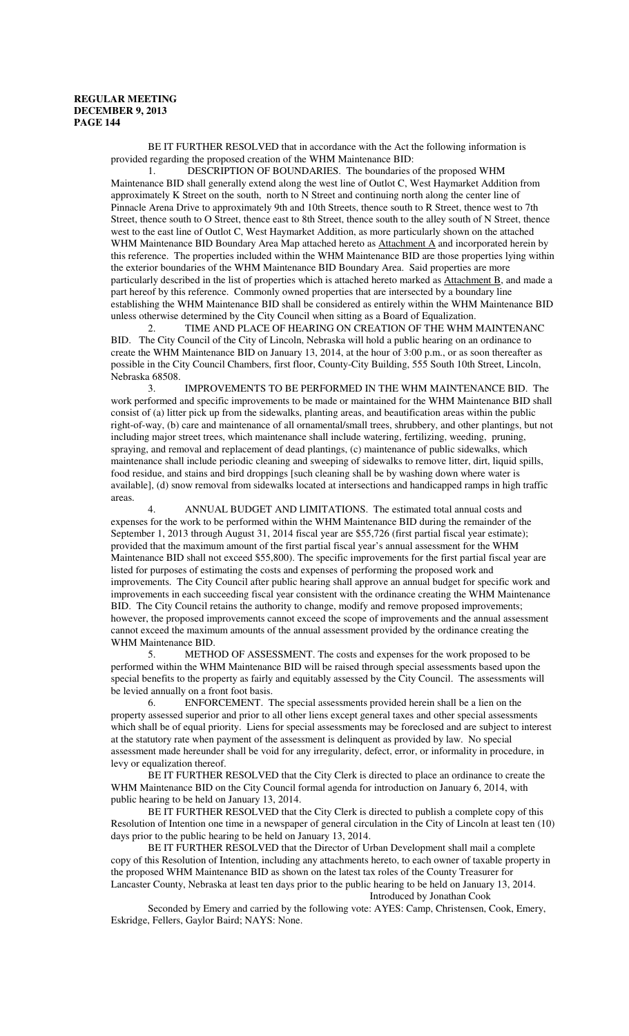BE IT FURTHER RESOLVED that in accordance with the Act the following information is provided regarding the proposed creation of the WHM Maintenance BID:

1. DESCRIPTION OF BOUNDARIES. The boundaries of the proposed WHM Maintenance BID shall generally extend along the west line of Outlot C, West Haymarket Addition from approximately K Street on the south, north to N Street and continuing north along the center line of Pinnacle Arena Drive to approximately 9th and 10th Streets, thence south to R Street, thence west to 7th Street, thence south to O Street, thence east to 8th Street, thence south to the alley south of N Street, thence west to the east line of Outlot C, West Haymarket Addition, as more particularly shown on the attached WHM Maintenance BID Boundary Area Map attached hereto as **Attachment A** and incorporated herein by this reference. The properties included within the WHM Maintenance BID are those properties lying within the exterior boundaries of the WHM Maintenance BID Boundary Area. Said properties are more particularly described in the list of properties which is attached hereto marked as Attachment B, and made a part hereof by this reference. Commonly owned properties that are intersected by a boundary line establishing the WHM Maintenance BID shall be considered as entirely within the WHM Maintenance BID unless otherwise determined by the City Council when sitting as a Board of Equalization.

TIME AND PLACE OF HEARING ON CREATION OF THE WHM MAINTENANC BID. The City Council of the City of Lincoln, Nebraska will hold a public hearing on an ordinance to create the WHM Maintenance BID on January 13, 2014, at the hour of 3:00 p.m., or as soon thereafter as possible in the City Council Chambers, first floor, County-City Building, 555 South 10th Street, Lincoln, Nebraska 68508.

3. IMPROVEMENTS TO BE PERFORMED IN THE WHM MAINTENANCE BID. The work performed and specific improvements to be made or maintained for the WHM Maintenance BID shall consist of (a) litter pick up from the sidewalks, planting areas, and beautification areas within the public right-of-way, (b) care and maintenance of all ornamental/small trees, shrubbery, and other plantings, but not including major street trees, which maintenance shall include watering, fertilizing, weeding, pruning, spraying, and removal and replacement of dead plantings, (c) maintenance of public sidewalks, which maintenance shall include periodic cleaning and sweeping of sidewalks to remove litter, dirt, liquid spills, food residue, and stains and bird droppings [such cleaning shall be by washing down where water is available], (d) snow removal from sidewalks located at intersections and handicapped ramps in high traffic areas.

4. ANNUAL BUDGET AND LIMITATIONS. The estimated total annual costs and expenses for the work to be performed within the WHM Maintenance BID during the remainder of the September 1, 2013 through August 31, 2014 fiscal year are \$55,726 (first partial fiscal year estimate); provided that the maximum amount of the first partial fiscal year's annual assessment for the WHM Maintenance BID shall not exceed \$55,800). The specific improvements for the first partial fiscal year are listed for purposes of estimating the costs and expenses of performing the proposed work and improvements. The City Council after public hearing shall approve an annual budget for specific work and improvements in each succeeding fiscal year consistent with the ordinance creating the WHM Maintenance BID. The City Council retains the authority to change, modify and remove proposed improvements; however, the proposed improvements cannot exceed the scope of improvements and the annual assessment cannot exceed the maximum amounts of the annual assessment provided by the ordinance creating the WHM Maintenance BID.

5. METHOD OF ASSESSMENT. The costs and expenses for the work proposed to be performed within the WHM Maintenance BID will be raised through special assessments based upon the special benefits to the property as fairly and equitably assessed by the City Council. The assessments will be levied annually on a front foot basis.

6. ENFORCEMENT. The special assessments provided herein shall be a lien on the property assessed superior and prior to all other liens except general taxes and other special assessments which shall be of equal priority. Liens for special assessments may be foreclosed and are subject to interest at the statutory rate when payment of the assessment is delinquent as provided by law. No special assessment made hereunder shall be void for any irregularity, defect, error, or informality in procedure, in levy or equalization thereof.

BE IT FURTHER RESOLVED that the City Clerk is directed to place an ordinance to create the WHM Maintenance BID on the City Council formal agenda for introduction on January 6, 2014, with public hearing to be held on January 13, 2014.

BE IT FURTHER RESOLVED that the City Clerk is directed to publish a complete copy of this Resolution of Intention one time in a newspaper of general circulation in the City of Lincoln at least ten (10) days prior to the public hearing to be held on January 13, 2014.

BE IT FURTHER RESOLVED that the Director of Urban Development shall mail a complete copy of this Resolution of Intention, including any attachments hereto, to each owner of taxable property in the proposed WHM Maintenance BID as shown on the latest tax roles of the County Treasurer for Lancaster County, Nebraska at least ten days prior to the public hearing to be held on January 13, 2014. Introduced by Jonathan Cook

Seconded by Emery and carried by the following vote: AYES: Camp, Christensen, Cook, Emery, Eskridge, Fellers, Gaylor Baird; NAYS: None.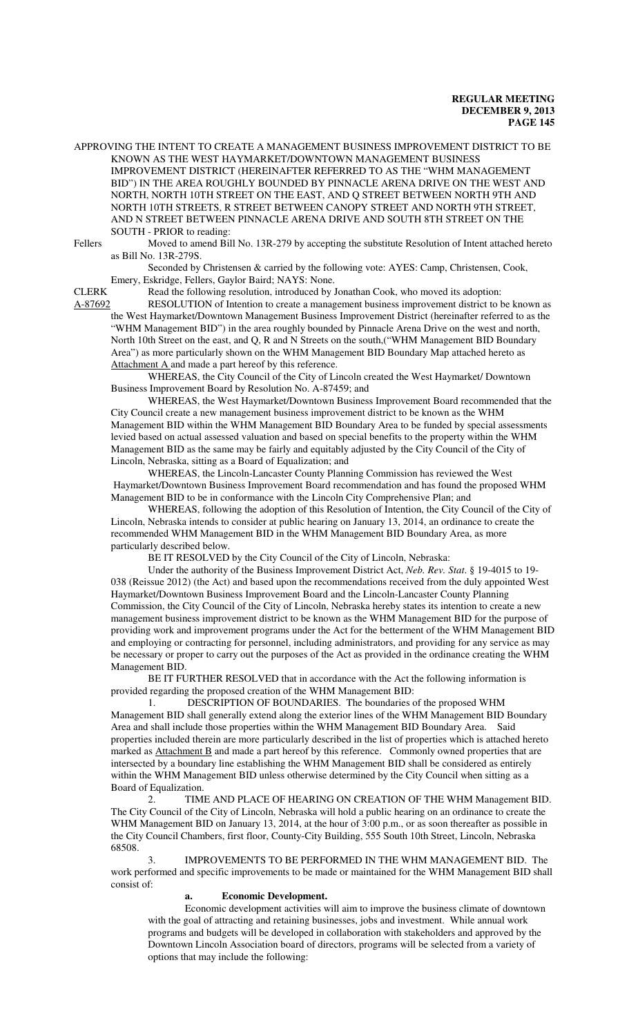APPROVING THE INTENT TO CREATE A MANAGEMENT BUSINESS IMPROVEMENT DISTRICT TO BE KNOWN AS THE WEST HAYMARKET/DOWNTOWN MANAGEMENT BUSINESS IMPROVEMENT DISTRICT (HEREINAFTER REFERRED TO AS THE "WHM MANAGEMENT BID") IN THE AREA ROUGHLY BOUNDED BY PINNACLE ARENA DRIVE ON THE WEST AND NORTH, NORTH 10TH STREET ON THE EAST, AND Q STREET BETWEEN NORTH 9TH AND NORTH 10TH STREETS, R STREET BETWEEN CANOPY STREET AND NORTH 9TH STREET, AND N STREET BETWEEN PINNACLE ARENA DRIVE AND SOUTH 8TH STREET ON THE SOUTH - PRIOR to reading:

Fellers Moved to amend Bill No. 13R-279 by accepting the substitute Resolution of Intent attached hereto as Bill No. 13R-279S.

Seconded by Christensen & carried by the following vote: AYES: Camp, Christensen, Cook, Emery, Eskridge, Fellers, Gaylor Baird; NAYS: None.

CLERK Read the following resolution, introduced by Jonathan Cook, who moved its adoption:

A-87692 RESOLUTION of Intention to create a management business improvement district to be known as the West Haymarket/Downtown Management Business Improvement District (hereinafter referred to as the "WHM Management BID") in the area roughly bounded by Pinnacle Arena Drive on the west and north, North 10th Street on the east, and Q, R and N Streets on the south,("WHM Management BID Boundary Area") as more particularly shown on the WHM Management BID Boundary Map attached hereto as Attachment A and made a part hereof by this reference.

WHEREAS, the City Council of the City of Lincoln created the West Haymarket/ Downtown Business Improvement Board by Resolution No. A-87459; and

WHEREAS, the West Haymarket/Downtown Business Improvement Board recommended that the City Council create a new management business improvement district to be known as the WHM Management BID within the WHM Management BID Boundary Area to be funded by special assessments levied based on actual assessed valuation and based on special benefits to the property within the WHM Management BID as the same may be fairly and equitably adjusted by the City Council of the City of Lincoln, Nebraska, sitting as a Board of Equalization; and

WHEREAS, the Lincoln-Lancaster County Planning Commission has reviewed the West Haymarket/Downtown Business Improvement Board recommendation and has found the proposed WHM Management BID to be in conformance with the Lincoln City Comprehensive Plan; and

WHEREAS, following the adoption of this Resolution of Intention, the City Council of the City of Lincoln, Nebraska intends to consider at public hearing on January 13, 2014, an ordinance to create the recommended WHM Management BID in the WHM Management BID Boundary Area, as more particularly described below.

BE IT RESOLVED by the City Council of the City of Lincoln, Nebraska:

Under the authority of the Business Improvement District Act, *Neb. Rev. Stat*. § 19-4015 to 19- 038 (Reissue 2012) (the Act) and based upon the recommendations received from the duly appointed West Haymarket/Downtown Business Improvement Board and the Lincoln-Lancaster County Planning Commission, the City Council of the City of Lincoln, Nebraska hereby states its intention to create a new management business improvement district to be known as the WHM Management BID for the purpose of providing work and improvement programs under the Act for the betterment of the WHM Management BID and employing or contracting for personnel, including administrators, and providing for any service as may be necessary or proper to carry out the purposes of the Act as provided in the ordinance creating the WHM Management BID.

BE IT FURTHER RESOLVED that in accordance with the Act the following information is provided regarding the proposed creation of the WHM Management BID:

1. DESCRIPTION OF BOUNDARIES. The boundaries of the proposed WHM Management BID shall generally extend along the exterior lines of the WHM Management BID Boundary Area and shall include those properties within the WHM Management BID Boundary Area. Said properties included therein are more particularly described in the list of properties which is attached hereto marked as **Attachment B** and made a part hereof by this reference. Commonly owned properties that are intersected by a boundary line establishing the WHM Management BID shall be considered as entirely within the WHM Management BID unless otherwise determined by the City Council when sitting as a Board of Equalization.

2. TIME AND PLACE OF HEARING ON CREATION OF THE WHM Management BID. The City Council of the City of Lincoln, Nebraska will hold a public hearing on an ordinance to create the WHM Management BID on January 13, 2014, at the hour of 3:00 p.m., or as soon thereafter as possible in the City Council Chambers, first floor, County-City Building, 555 South 10th Street, Lincoln, Nebraska 68508.

IMPROVEMENTS TO BE PERFORMED IN THE WHM MANAGEMENT BID. The work performed and specific improvements to be made or maintained for the WHM Management BID shall consist of:

#### **a. Economic Development.**

Economic development activities will aim to improve the business climate of downtown with the goal of attracting and retaining businesses, jobs and investment. While annual work programs and budgets will be developed in collaboration with stakeholders and approved by the Downtown Lincoln Association board of directors, programs will be selected from a variety of options that may include the following: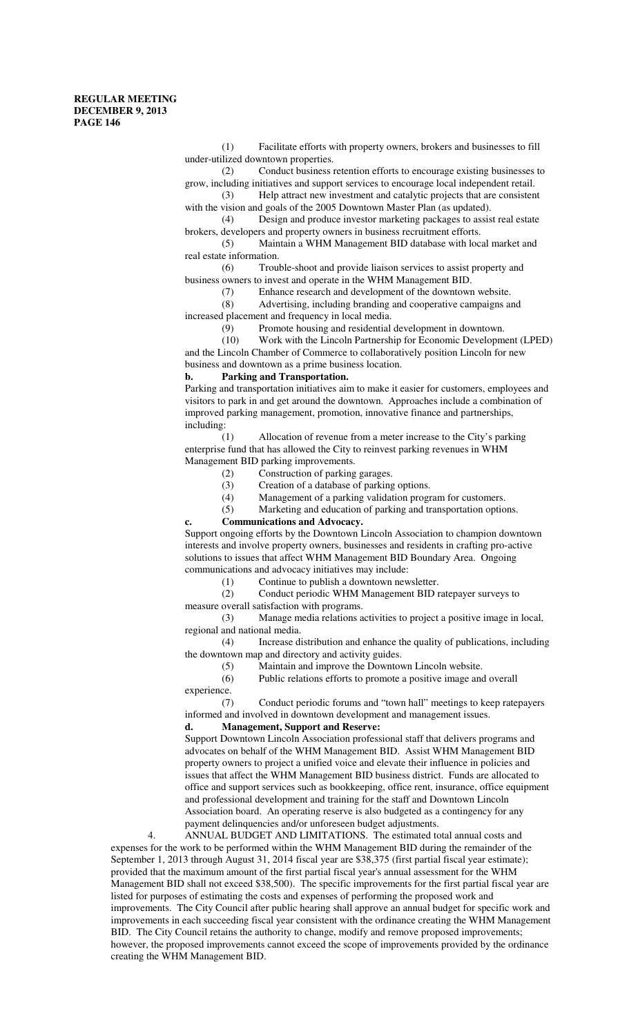(1) Facilitate efforts with property owners, brokers and businesses to fill under-utilized downtown properties.

(2) Conduct business retention efforts to encourage existing businesses to grow, including initiatives and support services to encourage local independent retail.

(3) Help attract new investment and catalytic projects that are consistent with the vision and goals of the 2005 Downtown Master Plan (as updated).

(4) Design and produce investor marketing packages to assist real estate brokers, developers and property owners in business recruitment efforts.

(5) Maintain a WHM Management BID database with local market and real estate information.

(6) Trouble-shoot and provide liaison services to assist property and business owners to invest and operate in the WHM Management BID.

(7) Enhance research and development of the downtown website.

(8) Advertising, including branding and cooperative campaigns and increased placement and frequency in local media.

(9) Promote housing and residential development in downtown.

(10) Work with the Lincoln Partnership for Economic Development (LPED) and the Lincoln Chamber of Commerce to collaboratively position Lincoln for new business and downtown as a prime business location.

#### **b. Parking and Transportation.**

Parking and transportation initiatives aim to make it easier for customers, employees and visitors to park in and get around the downtown. Approaches include a combination of improved parking management, promotion, innovative finance and partnerships, including:

(1) Allocation of revenue from a meter increase to the City's parking enterprise fund that has allowed the City to reinvest parking revenues in WHM Management BID parking improvements.

- (2) Construction of parking garages.
- (3) Creation of a database of parking options.
- (4) Management of a parking validation program for customers.
- (5) Marketing and education of parking and transportation options.

**c. Communications and Advocacy.**

Support ongoing efforts by the Downtown Lincoln Association to champion downtown interests and involve property owners, businesses and residents in crafting pro-active solutions to issues that affect WHM Management BID Boundary Area. Ongoing communications and advocacy initiatives may include:

(1) Continue to publish a downtown newsletter.

(2) Conduct periodic WHM Management BID ratepayer surveys to measure overall satisfaction with programs.

(3) Manage media relations activities to project a positive image in local, regional and national media.

(4) Increase distribution and enhance the quality of publications, including the downtown map and directory and activity guides.

(5) Maintain and improve the Downtown Lincoln website.

(6) Public relations efforts to promote a positive image and overall experience.

(7) Conduct periodic forums and "town hall" meetings to keep ratepayers informed and involved in downtown development and management issues.

## **d. Management, Support and Reserve:**

Support Downtown Lincoln Association professional staff that delivers programs and advocates on behalf of the WHM Management BID. Assist WHM Management BID property owners to project a unified voice and elevate their influence in policies and issues that affect the WHM Management BID business district. Funds are allocated to office and support services such as bookkeeping, office rent, insurance, office equipment and professional development and training for the staff and Downtown Lincoln Association board. An operating reserve is also budgeted as a contingency for any payment delinquencies and/or unforeseen budget adjustments.

4. ANNUAL BUDGET AND LIMITATIONS. The estimated total annual costs and expenses for the work to be performed within the WHM Management BID during the remainder of the September 1, 2013 through August 31, 2014 fiscal year are \$38,375 (first partial fiscal year estimate); provided that the maximum amount of the first partial fiscal year's annual assessment for the WHM Management BID shall not exceed \$38,500). The specific improvements for the first partial fiscal year are listed for purposes of estimating the costs and expenses of performing the proposed work and improvements. The City Council after public hearing shall approve an annual budget for specific work and improvements in each succeeding fiscal year consistent with the ordinance creating the WHM Management BID. The City Council retains the authority to change, modify and remove proposed improvements; however, the proposed improvements cannot exceed the scope of improvements provided by the ordinance creating the WHM Management BID.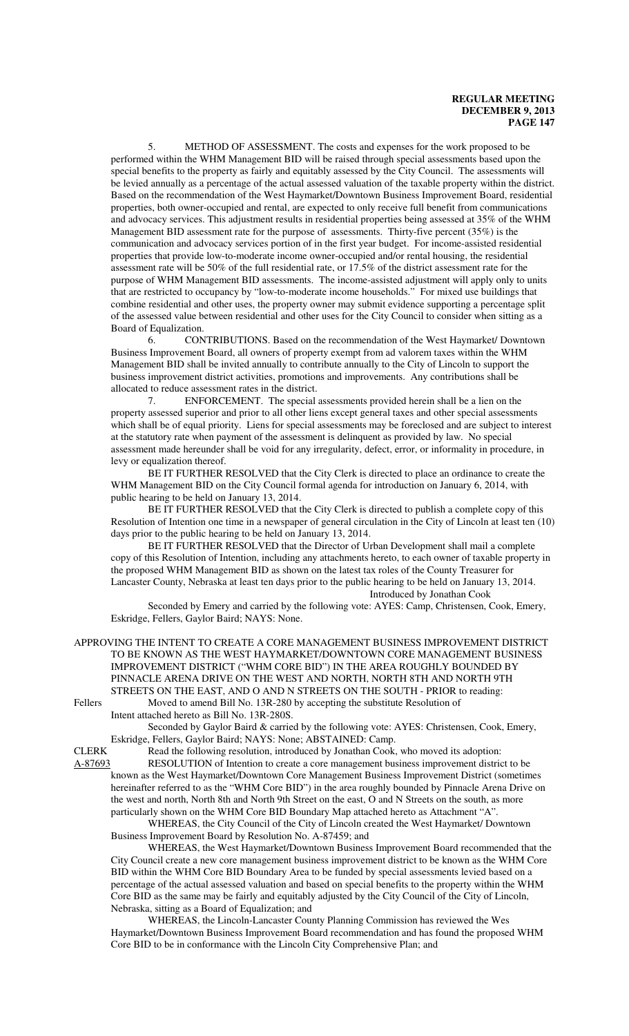5. METHOD OF ASSESSMENT. The costs and expenses for the work proposed to be performed within the WHM Management BID will be raised through special assessments based upon the special benefits to the property as fairly and equitably assessed by the City Council. The assessments will be levied annually as a percentage of the actual assessed valuation of the taxable property within the district. Based on the recommendation of the West Haymarket/Downtown Business Improvement Board, residential properties, both owner-occupied and rental, are expected to only receive full benefit from communications and advocacy services. This adjustment results in residential properties being assessed at 35% of the WHM Management BID assessment rate for the purpose of assessments. Thirty-five percent (35%) is the communication and advocacy services portion of in the first year budget. For income-assisted residential properties that provide low-to-moderate income owner-occupied and/or rental housing, the residential assessment rate will be 50% of the full residential rate, or 17.5% of the district assessment rate for the purpose of WHM Management BID assessments. The income-assisted adjustment will apply only to units that are restricted to occupancy by "low-to-moderate income households." For mixed use buildings that combine residential and other uses, the property owner may submit evidence supporting a percentage split of the assessed value between residential and other uses for the City Council to consider when sitting as a Board of Equalization.

 6. CONTRIBUTIONS. Based on the recommendation of the West Haymarket/ Downtown Business Improvement Board, all owners of property exempt from ad valorem taxes within the WHM Management BID shall be invited annually to contribute annually to the City of Lincoln to support the business improvement district activities, promotions and improvements. Any contributions shall be allocated to reduce assessment rates in the district.

7. ENFORCEMENT. The special assessments provided herein shall be a lien on the property assessed superior and prior to all other liens except general taxes and other special assessments which shall be of equal priority. Liens for special assessments may be foreclosed and are subject to interest at the statutory rate when payment of the assessment is delinquent as provided by law. No special assessment made hereunder shall be void for any irregularity, defect, error, or informality in procedure, in levy or equalization thereof.

BE IT FURTHER RESOLVED that the City Clerk is directed to place an ordinance to create the WHM Management BID on the City Council formal agenda for introduction on January 6, 2014, with public hearing to be held on January 13, 2014.

BE IT FURTHER RESOLVED that the City Clerk is directed to publish a complete copy of this Resolution of Intention one time in a newspaper of general circulation in the City of Lincoln at least ten (10) days prior to the public hearing to be held on January 13, 2014.

BE IT FURTHER RESOLVED that the Director of Urban Development shall mail a complete copy of this Resolution of Intention, including any attachments hereto, to each owner of taxable property in the proposed WHM Management BID as shown on the latest tax roles of the County Treasurer for Lancaster County, Nebraska at least ten days prior to the public hearing to be held on January 13, 2014. Introduced by Jonathan Cook

Seconded by Emery and carried by the following vote: AYES: Camp, Christensen, Cook, Emery, Eskridge, Fellers, Gaylor Baird; NAYS: None.

APPROVING THE INTENT TO CREATE A CORE MANAGEMENT BUSINESS IMPROVEMENT DISTRICT TO BE KNOWN AS THE WEST HAYMARKET/DOWNTOWN CORE MANAGEMENT BUSINESS IMPROVEMENT DISTRICT ("WHM CORE BID") IN THE AREA ROUGHLY BOUNDED BY PINNACLE ARENA DRIVE ON THE WEST AND NORTH, NORTH 8TH AND NORTH 9TH STREETS ON THE EAST, AND O AND N STREETS ON THE SOUTH - PRIOR to reading: Fellers Moved to amend Bill No. 13R-280 by accepting the substitute Resolution of

Intent attached hereto as Bill No. 13R-280S. Seconded by Gaylor Baird & carried by the following vote: AYES: Christensen, Cook, Emery,

Eskridge, Fellers, Gaylor Baird; NAYS: None; ABSTAINED: Camp.

CLERK Read the following resolution, introduced by Jonathan Cook, who moved its adoption: A-87693 RESOLUTION of Intention to create a core management business improvement district to be known as the West Haymarket/Downtown Core Management Business Improvement District (sometimes hereinafter referred to as the "WHM Core BID") in the area roughly bounded by Pinnacle Arena Drive on the west and north, North 8th and North 9th Street on the east, O and N Streets on the south, as more particularly shown on the WHM Core BID Boundary Map attached hereto as Attachment "A".

WHEREAS, the City Council of the City of Lincoln created the West Haymarket/ Downtown Business Improvement Board by Resolution No. A-87459; and

WHEREAS, the West Haymarket/Downtown Business Improvement Board recommended that the City Council create a new core management business improvement district to be known as the WHM Core BID within the WHM Core BID Boundary Area to be funded by special assessments levied based on a percentage of the actual assessed valuation and based on special benefits to the property within the WHM Core BID as the same may be fairly and equitably adjusted by the City Council of the City of Lincoln, Nebraska, sitting as a Board of Equalization; and

WHEREAS, the Lincoln-Lancaster County Planning Commission has reviewed the Wes Haymarket/Downtown Business Improvement Board recommendation and has found the proposed WHM Core BID to be in conformance with the Lincoln City Comprehensive Plan; and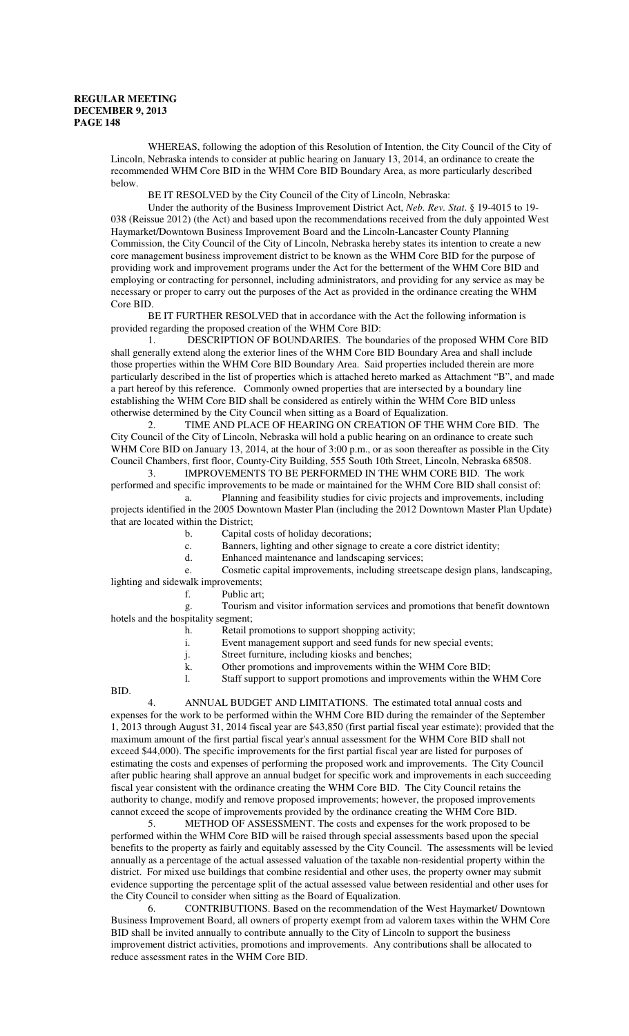WHEREAS, following the adoption of this Resolution of Intention, the City Council of the City of Lincoln, Nebraska intends to consider at public hearing on January 13, 2014, an ordinance to create the recommended WHM Core BID in the WHM Core BID Boundary Area, as more particularly described below.

BE IT RESOLVED by the City Council of the City of Lincoln, Nebraska:

Under the authority of the Business Improvement District Act, *Neb. Rev. Stat*. § 19-4015 to 19- 038 (Reissue 2012) (the Act) and based upon the recommendations received from the duly appointed West Haymarket/Downtown Business Improvement Board and the Lincoln-Lancaster County Planning Commission, the City Council of the City of Lincoln, Nebraska hereby states its intention to create a new core management business improvement district to be known as the WHM Core BID for the purpose of providing work and improvement programs under the Act for the betterment of the WHM Core BID and employing or contracting for personnel, including administrators, and providing for any service as may be necessary or proper to carry out the purposes of the Act as provided in the ordinance creating the WHM Core BID.

BE IT FURTHER RESOLVED that in accordance with the Act the following information is provided regarding the proposed creation of the WHM Core BID:

1. DESCRIPTION OF BOUNDARIES. The boundaries of the proposed WHM Core BID shall generally extend along the exterior lines of the WHM Core BID Boundary Area and shall include those properties within the WHM Core BID Boundary Area. Said properties included therein are more particularly described in the list of properties which is attached hereto marked as Attachment "B", and made a part hereof by this reference. Commonly owned properties that are intersected by a boundary line establishing the WHM Core BID shall be considered as entirely within the WHM Core BID unless otherwise determined by the City Council when sitting as a Board of Equalization.

2. TIME AND PLACE OF HEARING ON CREATION OF THE WHM Core BID. The City Council of the City of Lincoln, Nebraska will hold a public hearing on an ordinance to create such WHM Core BID on January 13, 2014, at the hour of 3:00 p.m., or as soon thereafter as possible in the City Council Chambers, first floor, County-City Building, 555 South 10th Street, Lincoln, Nebraska 68508.

3. IMPROVEMENTS TO BE PERFORMED IN THE WHM CORE BID. The work performed and specific improvements to be made or maintained for the WHM Core BID shall consist of:

a. Planning and feasibility studies for civic projects and improvements, including projects identified in the 2005 Downtown Master Plan (including the 2012 Downtown Master Plan Update) that are located within the District;

b. Capital costs of holiday decorations;

c. Banners, lighting and other signage to create a core district identity;

d. Enhanced maintenance and landscaping services;

e. Cosmetic capital improvements, including streetscape design plans, landscaping, lighting and sidewalk improvements;

f. Public art;

g. Tourism and visitor information services and promotions that benefit downtown hotels and the hospitality segment;

- h. Retail promotions to support shopping activity;
- i. Event management support and seed funds for new special events;

j. Street furniture, including kiosks and benches;

k. Other promotions and improvements within the WHM Core BID;

l. Staff support to support promotions and improvements within the WHM Core

BID.

4. ANNUAL BUDGET AND LIMITATIONS. The estimated total annual costs and expenses for the work to be performed within the WHM Core BID during the remainder of the September 1, 2013 through August 31, 2014 fiscal year are \$43,850 (first partial fiscal year estimate); provided that the maximum amount of the first partial fiscal year's annual assessment for the WHM Core BID shall not exceed \$44,000). The specific improvements for the first partial fiscal year are listed for purposes of estimating the costs and expenses of performing the proposed work and improvements. The City Council after public hearing shall approve an annual budget for specific work and improvements in each succeeding fiscal year consistent with the ordinance creating the WHM Core BID. The City Council retains the authority to change, modify and remove proposed improvements; however, the proposed improvements cannot exceed the scope of improvements provided by the ordinance creating the WHM Core BID.

5. METHOD OF ASSESSMENT. The costs and expenses for the work proposed to be performed within the WHM Core BID will be raised through special assessments based upon the special benefits to the property as fairly and equitably assessed by the City Council. The assessments will be levied annually as a percentage of the actual assessed valuation of the taxable non-residential property within the district. For mixed use buildings that combine residential and other uses, the property owner may submit evidence supporting the percentage split of the actual assessed value between residential and other uses for the City Council to consider when sitting as the Board of Equalization.

6. CONTRIBUTIONS. Based on the recommendation of the West Haymarket/ Downtown Business Improvement Board, all owners of property exempt from ad valorem taxes within the WHM Core BID shall be invited annually to contribute annually to the City of Lincoln to support the business improvement district activities, promotions and improvements. Any contributions shall be allocated to reduce assessment rates in the WHM Core BID.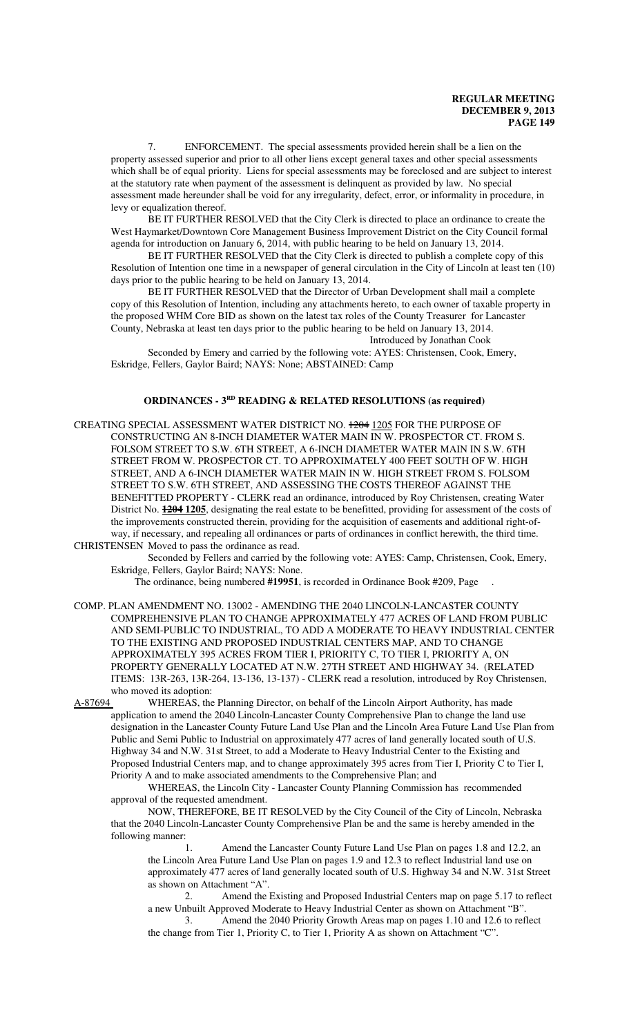7. ENFORCEMENT. The special assessments provided herein shall be a lien on the property assessed superior and prior to all other liens except general taxes and other special assessments which shall be of equal priority. Liens for special assessments may be foreclosed and are subject to interest at the statutory rate when payment of the assessment is delinquent as provided by law. No special assessment made hereunder shall be void for any irregularity, defect, error, or informality in procedure, in levy or equalization thereof.

BE IT FURTHER RESOLVED that the City Clerk is directed to place an ordinance to create the West Haymarket/Downtown Core Management Business Improvement District on the City Council formal agenda for introduction on January 6, 2014, with public hearing to be held on January 13, 2014.

BE IT FURTHER RESOLVED that the City Clerk is directed to publish a complete copy of this Resolution of Intention one time in a newspaper of general circulation in the City of Lincoln at least ten (10) days prior to the public hearing to be held on January 13, 2014.

BE IT FURTHER RESOLVED that the Director of Urban Development shall mail a complete copy of this Resolution of Intention, including any attachments hereto, to each owner of taxable property in the proposed WHM Core BID as shown on the latest tax roles of the County Treasurer for Lancaster County, Nebraska at least ten days prior to the public hearing to be held on January 13, 2014.

Introduced by Jonathan Cook

Seconded by Emery and carried by the following vote: AYES: Christensen, Cook, Emery, Eskridge, Fellers, Gaylor Baird; NAYS: None; ABSTAINED: Camp

#### **ORDINANCES - 3RD READING & RELATED RESOLUTIONS (as required)**

CREATING SPECIAL ASSESSMENT WATER DISTRICT NO. 1204 1205 FOR THE PURPOSE OF CONSTRUCTING AN 8-INCH DIAMETER WATER MAIN IN W. PROSPECTOR CT. FROM S. FOLSOM STREET TO S.W. 6TH STREET, A 6-INCH DIAMETER WATER MAIN IN S.W. 6TH STREET FROM W. PROSPECTOR CT. TO APPROXIMATELY 400 FEET SOUTH OF W. HIGH STREET, AND A 6-INCH DIAMETER WATER MAIN IN W. HIGH STREET FROM S. FOLSOM STREET TO S.W. 6TH STREET, AND ASSESSING THE COSTS THEREOF AGAINST THE BENEFITTED PROPERTY - CLERK read an ordinance, introduced by Roy Christensen, creating Water District No. **1204 1205**, designating the real estate to be benefitted, providing for assessment of the costs of the improvements constructed therein, providing for the acquisition of easements and additional right-ofway, if necessary, and repealing all ordinances or parts of ordinances in conflict herewith, the third time. CHRISTENSEN Moved to pass the ordinance as read.

Seconded by Fellers and carried by the following vote: AYES: Camp, Christensen, Cook, Emery, Eskridge, Fellers, Gaylor Baird; NAYS: None.

The ordinance, being numbered **#19951**, is recorded in Ordinance Book #209, Page .

COMP. PLAN AMENDMENT NO. 13002 - AMENDING THE 2040 LINCOLN-LANCASTER COUNTY COMPREHENSIVE PLAN TO CHANGE APPROXIMATELY 477 ACRES OF LAND FROM PUBLIC AND SEMI-PUBLIC TO INDUSTRIAL, TO ADD A MODERATE TO HEAVY INDUSTRIAL CENTER TO THE EXISTING AND PROPOSED INDUSTRIAL CENTERS MAP, AND TO CHANGE APPROXIMATELY 395 ACRES FROM TIER I, PRIORITY C, TO TIER I, PRIORITY A, ON PROPERTY GENERALLY LOCATED AT N.W. 27TH STREET AND HIGHWAY 34. (RELATED ITEMS: 13R-263, 13R-264, 13-136, 13-137) - CLERK read a resolution, introduced by Roy Christensen, who moved its adoption:<br>A-87694 WHEREAS, the

WHEREAS, the Planning Director, on behalf of the Lincoln Airport Authority, has made application to amend the 2040 Lincoln-Lancaster County Comprehensive Plan to change the land use designation in the Lancaster County Future Land Use Plan and the Lincoln Area Future Land Use Plan from Public and Semi Public to Industrial on approximately 477 acres of land generally located south of U.S. Highway 34 and N.W. 31st Street, to add a Moderate to Heavy Industrial Center to the Existing and Proposed Industrial Centers map, and to change approximately 395 acres from Tier I, Priority C to Tier I, Priority A and to make associated amendments to the Comprehensive Plan; and

WHEREAS, the Lincoln City - Lancaster County Planning Commission has recommended approval of the requested amendment.

NOW, THEREFORE, BE IT RESOLVED by the City Council of the City of Lincoln, Nebraska that the 2040 Lincoln-Lancaster County Comprehensive Plan be and the same is hereby amended in the following manner:

1. Amend the Lancaster County Future Land Use Plan on pages 1.8 and 12.2, an the Lincoln Area Future Land Use Plan on pages 1.9 and 12.3 to reflect Industrial land use on approximately 477 acres of land generally located south of U.S. Highway 34 and N.W. 31st Street as shown on Attachment "A".

2. Amend the Existing and Proposed Industrial Centers map on page 5.17 to reflect a new Unbuilt Approved Moderate to Heavy Industrial Center as shown on Attachment "B".

3. Amend the 2040 Priority Growth Areas map on pages 1.10 and 12.6 to reflect the change from Tier 1, Priority C, to Tier 1, Priority A as shown on Attachment "C".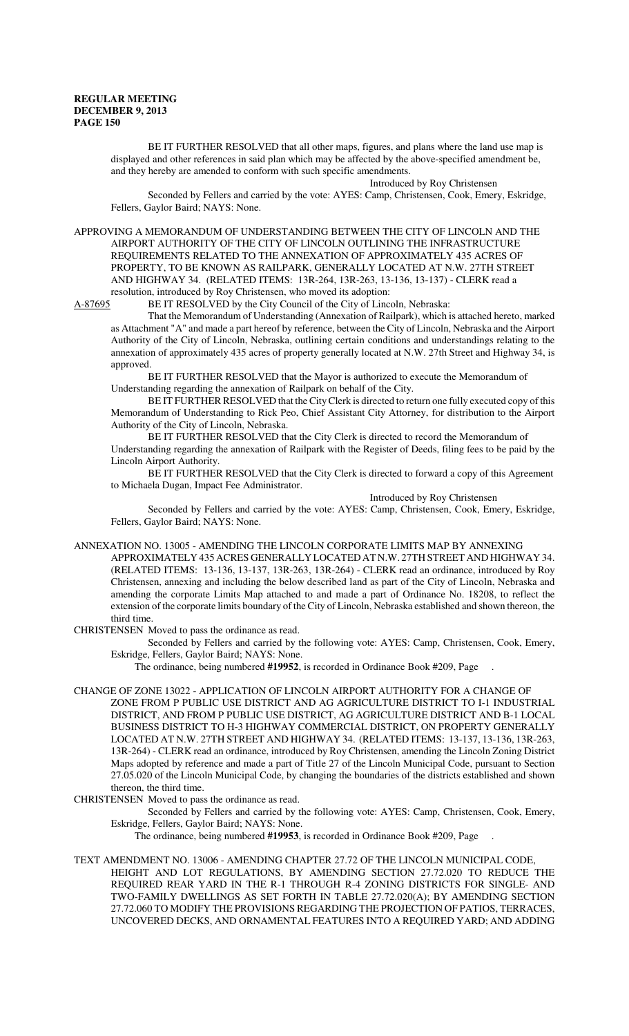BE IT FURTHER RESOLVED that all other maps, figures, and plans where the land use map is displayed and other references in said plan which may be affected by the above-specified amendment be, and they hereby are amended to conform with such specific amendments.

Introduced by Roy Christensen

Seconded by Fellers and carried by the vote: AYES: Camp, Christensen, Cook, Emery, Eskridge, Fellers, Gaylor Baird; NAYS: None.

APPROVING A MEMORANDUM OF UNDERSTANDING BETWEEN THE CITY OF LINCOLN AND THE AIRPORT AUTHORITY OF THE CITY OF LINCOLN OUTLINING THE INFRASTRUCTURE REQUIREMENTS RELATED TO THE ANNEXATION OF APPROXIMATELY 435 ACRES OF PROPERTY, TO BE KNOWN AS RAILPARK, GENERALLY LOCATED AT N.W. 27TH STREET AND HIGHWAY 34. (RELATED ITEMS: 13R-264, 13R-263, 13-136, 13-137) - CLERK read a resolution, introduced by Roy Christensen, who moved its adoption:

A-87695 BE IT RESOLVED by the City Council of the City of Lincoln, Nebraska:

That the Memorandum of Understanding (Annexation of Railpark), which is attached hereto, marked as Attachment "A" and made a part hereof by reference, between the City of Lincoln, Nebraska and the Airport Authority of the City of Lincoln, Nebraska, outlining certain conditions and understandings relating to the annexation of approximately 435 acres of property generally located at N.W. 27th Street and Highway 34, is approved.

 BE IT FURTHER RESOLVED that the Mayor is authorized to execute the Memorandum of Understanding regarding the annexation of Railpark on behalf of the City.

BE IT FURTHER RESOLVED that the City Clerk is directed to return one fully executed copy of this Memorandum of Understanding to Rick Peo, Chief Assistant City Attorney, for distribution to the Airport Authority of the City of Lincoln, Nebraska.

BE IT FURTHER RESOLVED that the City Clerk is directed to record the Memorandum of Understanding regarding the annexation of Railpark with the Register of Deeds, filing fees to be paid by the Lincoln Airport Authority.

BE IT FURTHER RESOLVED that the City Clerk is directed to forward a copy of this Agreement to Michaela Dugan, Impact Fee Administrator.

Introduced by Roy Christensen

Seconded by Fellers and carried by the vote: AYES: Camp, Christensen, Cook, Emery, Eskridge, Fellers, Gaylor Baird; NAYS: None.

ANNEXATION NO. 13005 - AMENDING THE LINCOLN CORPORATE LIMITS MAP BY ANNEXING

APPROXIMATELY 435 ACRES GENERALLY LOCATED AT N.W. 27TH STREET AND HIGHWAY 34. (RELATED ITEMS: 13-136, 13-137, 13R-263, 13R-264) - CLERK read an ordinance, introduced by Roy Christensen, annexing and including the below described land as part of the City of Lincoln, Nebraska and amending the corporate Limits Map attached to and made a part of Ordinance No. 18208, to reflect the extension of the corporate limits boundary of the City of Lincoln, Nebraska established and shown thereon, the third time.

CHRISTENSEN Moved to pass the ordinance as read.

Seconded by Fellers and carried by the following vote: AYES: Camp, Christensen, Cook, Emery, Eskridge, Fellers, Gaylor Baird; NAYS: None.

The ordinance, being numbered **#19952**, is recorded in Ordinance Book #209, Page .

- CHANGE OF ZONE 13022 APPLICATION OF LINCOLN AIRPORT AUTHORITY FOR A CHANGE OF ZONE FROM P PUBLIC USE DISTRICT AND AG AGRICULTURE DISTRICT TO I-1 INDUSTRIAL DISTRICT, AND FROM P PUBLIC USE DISTRICT, AG AGRICULTURE DISTRICT AND B-1 LOCAL BUSINESS DISTRICT TO H-3 HIGHWAY COMMERCIAL DISTRICT, ON PROPERTY GENERALLY LOCATED AT N.W. 27TH STREET AND HIGHWAY 34. (RELATED ITEMS: 13-137, 13-136, 13R-263, 13R-264) - CLERK read an ordinance, introduced by Roy Christensen, amending the Lincoln Zoning District Maps adopted by reference and made a part of Title 27 of the Lincoln Municipal Code, pursuant to Section 27.05.020 of the Lincoln Municipal Code, by changing the boundaries of the districts established and shown thereon, the third time.
- CHRISTENSEN Moved to pass the ordinance as read.

Seconded by Fellers and carried by the following vote: AYES: Camp, Christensen, Cook, Emery, Eskridge, Fellers, Gaylor Baird; NAYS: None.

The ordinance, being numbered **#19953**, is recorded in Ordinance Book #209, Page .

TEXT AMENDMENT NO. 13006 - AMENDING CHAPTER 27.72 OF THE LINCOLN MUNICIPAL CODE, HEIGHT AND LOT REGULATIONS, BY AMENDING SECTION 27.72.020 TO REDUCE THE REQUIRED REAR YARD IN THE R-1 THROUGH R-4 ZONING DISTRICTS FOR SINGLE- AND TWO-FAMILY DWELLINGS AS SET FORTH IN TABLE 27.72.020(A); BY AMENDING SECTION 27.72.060 TO MODIFY THE PROVISIONS REGARDING THE PROJECTION OF PATIOS, TERRACES, UNCOVERED DECKS, AND ORNAMENTAL FEATURES INTO A REQUIRED YARD; AND ADDING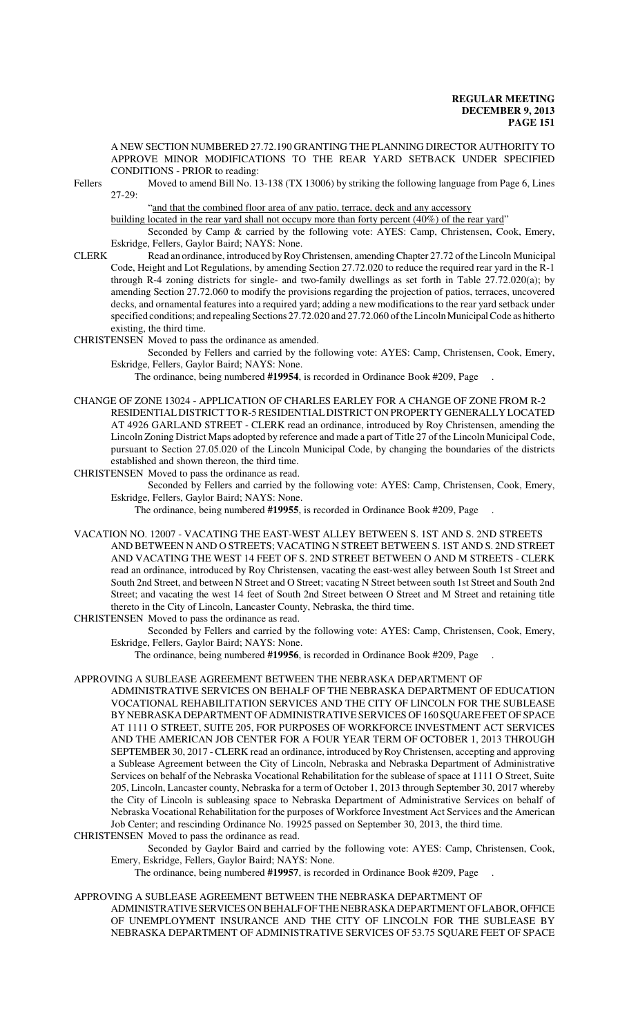A NEW SECTION NUMBERED 27.72.190 GRANTING THE PLANNING DIRECTOR AUTHORITY TO APPROVE MINOR MODIFICATIONS TO THE REAR YARD SETBACK UNDER SPECIFIED CONDITIONS - PRIOR to reading:

Fellers Moved to amend Bill No. 13-138 (TX 13006) by striking the following language from Page 6, Lines  $27-29$ 

"and that the combined floor area of any patio, terrace, deck and any accessory

building located in the rear yard shall not occupy more than forty percent (40%) of the rear yard"

Seconded by Camp & carried by the following vote: AYES: Camp, Christensen, Cook, Emery, Eskridge, Fellers, Gaylor Baird; NAYS: None.

CLERK Read an ordinance, introduced by Roy Christensen, amending Chapter 27.72 of the Lincoln Municipal Code, Height and Lot Regulations, by amending Section 27.72.020 to reduce the required rear yard in the R-1 through R-4 zoning districts for single- and two-family dwellings as set forth in Table 27.72.020(a); by amending Section 27.72.060 to modify the provisions regarding the projection of patios, terraces, uncovered decks, and ornamental features into a required yard; adding a new modifications to the rear yard setback under specified conditions; and repealing Sections 27.72.020 and 27.72.060 of the Lincoln Municipal Code as hitherto existing, the third time.

CHRISTENSEN Moved to pass the ordinance as amended.

Seconded by Fellers and carried by the following vote: AYES: Camp, Christensen, Cook, Emery, Eskridge, Fellers, Gaylor Baird; NAYS: None.

The ordinance, being numbered **#19954**, is recorded in Ordinance Book #209, Page .

CHANGE OF ZONE 13024 - APPLICATION OF CHARLES EARLEY FOR A CHANGE OF ZONE FROM R-2 RESIDENTIAL DISTRICT TO R-5 RESIDENTIAL DISTRICT ON PROPERTY GENERALLY LOCATED AT 4926 GARLAND STREET - CLERK read an ordinance, introduced by Roy Christensen, amending the Lincoln Zoning District Maps adopted by reference and made a part of Title 27 of the Lincoln Municipal Code, pursuant to Section 27.05.020 of the Lincoln Municipal Code, by changing the boundaries of the districts established and shown thereon, the third time.

CHRISTENSEN Moved to pass the ordinance as read.

Seconded by Fellers and carried by the following vote: AYES: Camp, Christensen, Cook, Emery, Eskridge, Fellers, Gaylor Baird; NAYS: None.

The ordinance, being numbered **#19955**, is recorded in Ordinance Book #209, Page .

VACATION NO. 12007 - VACATING THE EAST-WEST ALLEY BETWEEN S. 1ST AND S. 2ND STREETS AND BETWEEN N AND O STREETS; VACATING N STREET BETWEEN S. 1ST AND S. 2ND STREET AND VACATING THE WEST 14 FEET OF S. 2ND STREET BETWEEN O AND M STREETS - CLERK read an ordinance, introduced by Roy Christensen, vacating the east-west alley between South 1st Street and South 2nd Street, and between N Street and O Street; vacating N Street between south 1st Street and South 2nd Street; and vacating the west 14 feet of South 2nd Street between O Street and M Street and retaining title thereto in the City of Lincoln, Lancaster County, Nebraska, the third time.

CHRISTENSEN Moved to pass the ordinance as read.

Seconded by Fellers and carried by the following vote: AYES: Camp, Christensen, Cook, Emery, Eskridge, Fellers, Gaylor Baird; NAYS: None.

The ordinance, being numbered **#19956**, is recorded in Ordinance Book #209, Page .

- APPROVING A SUBLEASE AGREEMENT BETWEEN THE NEBRASKA DEPARTMENT OF
	- ADMINISTRATIVE SERVICES ON BEHALF OF THE NEBRASKA DEPARTMENT OF EDUCATION VOCATIONAL REHABILITATION SERVICES AND THE CITY OF LINCOLN FOR THE SUBLEASE BY NEBRASKA DEPARTMENT OF ADMINISTRATIVE SERVICES OF 160 SQUARE FEET OF SPACE AT 1111 O STREET, SUITE 205, FOR PURPOSES OF WORKFORCE INVESTMENT ACT SERVICES AND THE AMERICAN JOB CENTER FOR A FOUR YEAR TERM OF OCTOBER 1, 2013 THROUGH SEPTEMBER 30, 2017 - CLERK read an ordinance, introduced by Roy Christensen, accepting and approving a Sublease Agreement between the City of Lincoln, Nebraska and Nebraska Department of Administrative Services on behalf of the Nebraska Vocational Rehabilitation for the sublease of space at 1111 O Street, Suite 205, Lincoln, Lancaster county, Nebraska for a term of October 1, 2013 through September 30, 2017 whereby the City of Lincoln is subleasing space to Nebraska Department of Administrative Services on behalf of Nebraska Vocational Rehabilitation for the purposes of Workforce Investment Act Services and the American Job Center; and rescinding Ordinance No. 19925 passed on September 30, 2013, the third time.

CHRISTENSEN Moved to pass the ordinance as read.

Seconded by Gaylor Baird and carried by the following vote: AYES: Camp, Christensen, Cook, Emery, Eskridge, Fellers, Gaylor Baird; NAYS: None.

The ordinance, being numbered **#19957**, is recorded in Ordinance Book #209, Page .

APPROVING A SUBLEASE AGREEMENT BETWEEN THE NEBRASKA DEPARTMENT OF ADMINISTRATIVE SERVICES ON BEHALF OF THE NEBRASKA DEPARTMENT OF LABOR, OFFICE OF UNEMPLOYMENT INSURANCE AND THE CITY OF LINCOLN FOR THE SUBLEASE BY NEBRASKA DEPARTMENT OF ADMINISTRATIVE SERVICES OF 53.75 SQUARE FEET OF SPACE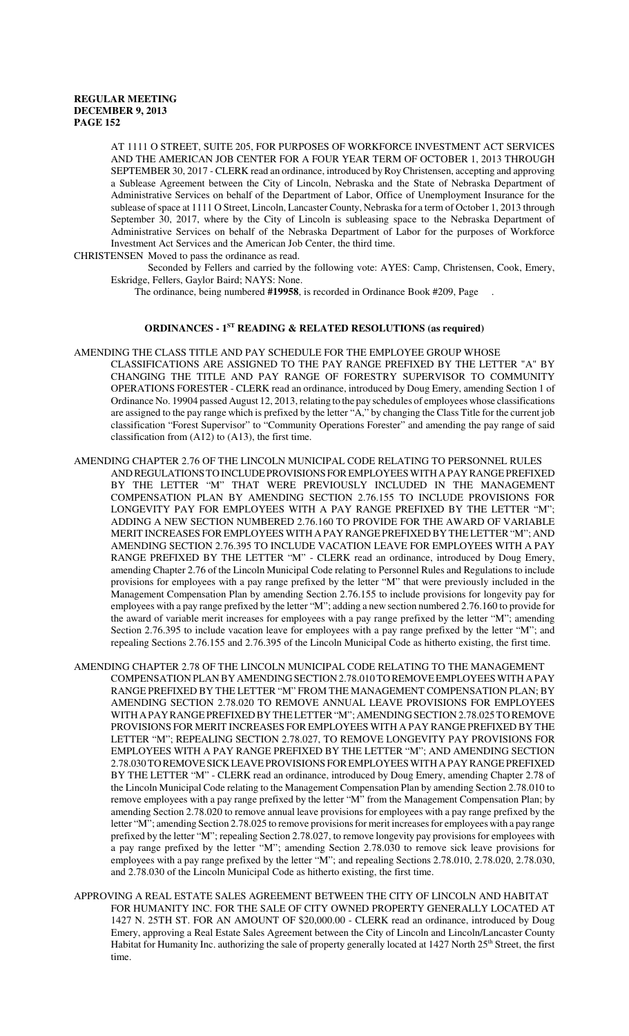AT 1111 O STREET, SUITE 205, FOR PURPOSES OF WORKFORCE INVESTMENT ACT SERVICES AND THE AMERICAN JOB CENTER FOR A FOUR YEAR TERM OF OCTOBER 1, 2013 THROUGH SEPTEMBER 30, 2017 - CLERK read an ordinance, introduced by Roy Christensen, accepting and approving a Sublease Agreement between the City of Lincoln, Nebraska and the State of Nebraska Department of Administrative Services on behalf of the Department of Labor, Office of Unemployment Insurance for the sublease of space at 1111 O Street, Lincoln, Lancaster County, Nebraska for a term of October 1, 2013 through September 30, 2017, where by the City of Lincoln is subleasing space to the Nebraska Department of Administrative Services on behalf of the Nebraska Department of Labor for the purposes of Workforce Investment Act Services and the American Job Center, the third time.

CHRISTENSEN Moved to pass the ordinance as read.

Seconded by Fellers and carried by the following vote: AYES: Camp, Christensen, Cook, Emery, Eskridge, Fellers, Gaylor Baird; NAYS: None.

The ordinance, being numbered **#19958**, is recorded in Ordinance Book #209, Page .

# **ORDINANCES - 1ST READING & RELATED RESOLUTIONS (as required)**

- AMENDING THE CLASS TITLE AND PAY SCHEDULE FOR THE EMPLOYEE GROUP WHOSE CLASSIFICATIONS ARE ASSIGNED TO THE PAY RANGE PREFIXED BY THE LETTER "A" BY CHANGING THE TITLE AND PAY RANGE OF FORESTRY SUPERVISOR TO COMMUNITY OPERATIONS FORESTER - CLERK read an ordinance, introduced by Doug Emery, amending Section 1 of Ordinance No. 19904 passed August 12, 2013, relating to the pay schedules of employees whose classifications are assigned to the pay range which is prefixed by the letter "A," by changing the Class Title for the current job classification "Forest Supervisor" to "Community Operations Forester" and amending the pay range of said classification from (A12) to (A13), the first time.
- AMENDING CHAPTER 2.76 OF THE LINCOLN MUNICIPAL CODE RELATING TO PERSONNEL RULES AND REGULATIONS TO INCLUDE PROVISIONS FOR EMPLOYEES WITH A PAY RANGE PREFIXED BY THE LETTER "M" THAT WERE PREVIOUSLY INCLUDED IN THE MANAGEMENT COMPENSATION PLAN BY AMENDING SECTION 2.76.155 TO INCLUDE PROVISIONS FOR LONGEVITY PAY FOR EMPLOYEES WITH A PAY RANGE PREFIXED BY THE LETTER "M"; ADDING A NEW SECTION NUMBERED 2.76.160 TO PROVIDE FOR THE AWARD OF VARIABLE MERIT INCREASES FOR EMPLOYEES WITH A PAY RANGE PREFIXED BY THE LETTER "M"; AND AMENDING SECTION 2.76.395 TO INCLUDE VACATION LEAVE FOR EMPLOYEES WITH A PAY RANGE PREFIXED BY THE LETTER "M" - CLERK read an ordinance, introduced by Doug Emery, amending Chapter 2.76 of the Lincoln Municipal Code relating to Personnel Rules and Regulations to include provisions for employees with a pay range prefixed by the letter "M" that were previously included in the Management Compensation Plan by amending Section 2.76.155 to include provisions for longevity pay for employees with a pay range prefixed by the letter "M"; adding a new section numbered 2.76.160 to provide for the award of variable merit increases for employees with a pay range prefixed by the letter "M"; amending Section 2.76.395 to include vacation leave for employees with a pay range prefixed by the letter "M"; and repealing Sections 2.76.155 and 2.76.395 of the Lincoln Municipal Code as hitherto existing, the first time.
- AMENDING CHAPTER 2.78 OF THE LINCOLN MUNICIPAL CODE RELATING TO THE MANAGEMENT COMPENSATION PLAN BY AMENDING SECTION 2.78.010 TO REMOVE EMPLOYEES WITH A PAY RANGE PREFIXED BY THE LETTER "M" FROM THE MANAGEMENT COMPENSATION PLAN; BY AMENDING SECTION 2.78.020 TO REMOVE ANNUAL LEAVE PROVISIONS FOR EMPLOYEES WITH A PAY RANGE PREFIXED BY THE LETTER "M"; AMENDING SECTION 2.78.025 TO REMOVE PROVISIONS FOR MERIT INCREASES FOR EMPLOYEES WITH A PAY RANGE PREFIXED BY THE LETTER "M"; REPEALING SECTION 2.78.027, TO REMOVE LONGEVITY PAY PROVISIONS FOR EMPLOYEES WITH A PAY RANGE PREFIXED BY THE LETTER "M"; AND AMENDING SECTION 2.78.030 TO REMOVE SICK LEAVE PROVISIONS FOR EMPLOYEES WITH A PAY RANGE PREFIXED BY THE LETTER "M" - CLERK read an ordinance, introduced by Doug Emery, amending Chapter 2.78 of the Lincoln Municipal Code relating to the Management Compensation Plan by amending Section 2.78.010 to remove employees with a pay range prefixed by the letter "M" from the Management Compensation Plan; by amending Section 2.78.020 to remove annual leave provisions for employees with a pay range prefixed by the letter "M"; amending Section 2.78.025 to remove provisions for merit increases for employees with a pay range prefixed by the letter "M"; repealing Section 2.78.027, to remove longevity pay provisions for employees with a pay range prefixed by the letter "M"; amending Section 2.78.030 to remove sick leave provisions for employees with a pay range prefixed by the letter "M"; and repealing Sections 2.78.010, 2.78.020, 2.78.030, and 2.78.030 of the Lincoln Municipal Code as hitherto existing, the first time.
- APPROVING A REAL ESTATE SALES AGREEMENT BETWEEN THE CITY OF LINCOLN AND HABITAT FOR HUMANITY INC. FOR THE SALE OF CITY OWNED PROPERTY GENERALLY LOCATED AT 1427 N. 25TH ST. FOR AN AMOUNT OF \$20,000.00 - CLERK read an ordinance, introduced by Doug Emery, approving a Real Estate Sales Agreement between the City of Lincoln and Lincoln/Lancaster County Habitat for Humanity Inc. authorizing the sale of property generally located at 1427 North 25<sup>th</sup> Street, the first time.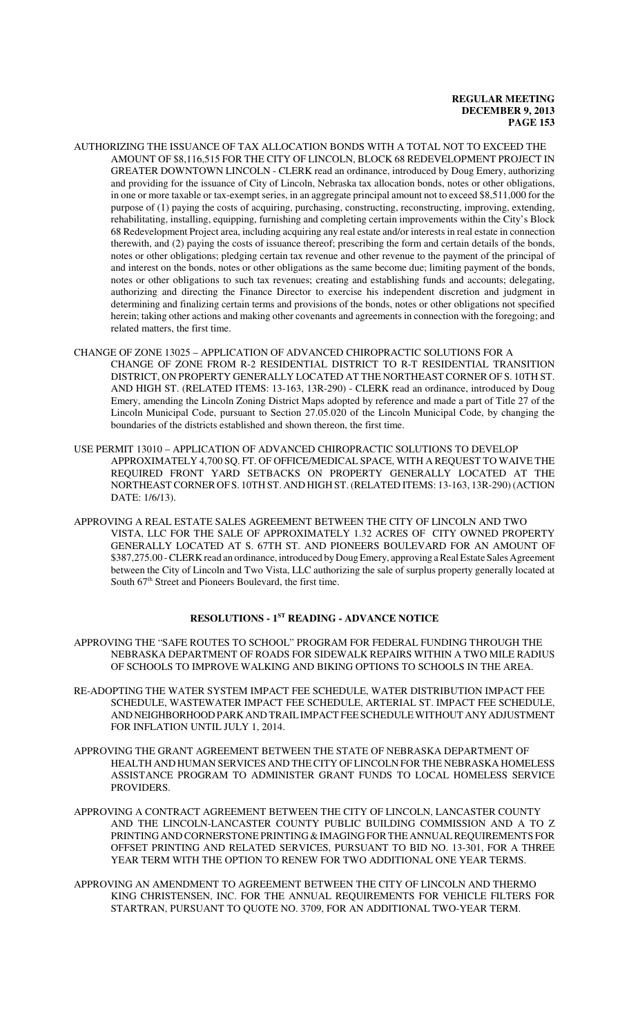- AUTHORIZING THE ISSUANCE OF TAX ALLOCATION BONDS WITH A TOTAL NOT TO EXCEED THE AMOUNT OF \$8,116,515 FOR THE CITY OF LINCOLN, BLOCK 68 REDEVELOPMENT PROJECT IN GREATER DOWNTOWN LINCOLN - CLERK read an ordinance, introduced by Doug Emery, authorizing and providing for the issuance of City of Lincoln, Nebraska tax allocation bonds, notes or other obligations, in one or more taxable or tax-exempt series, in an aggregate principal amount not to exceed \$8,511,000 for the purpose of (1) paying the costs of acquiring, purchasing, constructing, reconstructing, improving, extending, rehabilitating, installing, equipping, furnishing and completing certain improvements within the City's Block 68 Redevelopment Project area, including acquiring any real estate and/or interests in real estate in connection therewith, and (2) paying the costs of issuance thereof; prescribing the form and certain details of the bonds, notes or other obligations; pledging certain tax revenue and other revenue to the payment of the principal of and interest on the bonds, notes or other obligations as the same become due; limiting payment of the bonds, notes or other obligations to such tax revenues; creating and establishing funds and accounts; delegating, authorizing and directing the Finance Director to exercise his independent discretion and judgment in determining and finalizing certain terms and provisions of the bonds, notes or other obligations not specified herein; taking other actions and making other covenants and agreements in connection with the foregoing; and related matters, the first time.
- CHANGE OF ZONE 13025 APPLICATION OF ADVANCED CHIROPRACTIC SOLUTIONS FOR A CHANGE OF ZONE FROM R-2 RESIDENTIAL DISTRICT TO R-T RESIDENTIAL TRANSITION DISTRICT, ON PROPERTY GENERALLY LOCATED AT THE NORTHEAST CORNER OF S. 10TH ST. AND HIGH ST. (RELATED ITEMS: 13-163, 13R-290) - CLERK read an ordinance, introduced by Doug Emery, amending the Lincoln Zoning District Maps adopted by reference and made a part of Title 27 of the Lincoln Municipal Code, pursuant to Section 27.05.020 of the Lincoln Municipal Code, by changing the boundaries of the districts established and shown thereon, the first time.
- USE PERMIT 13010 APPLICATION OF ADVANCED CHIROPRACTIC SOLUTIONS TO DEVELOP APPROXIMATELY 4,700 SQ. FT. OF OFFICE/MEDICAL SPACE, WITH A REQUEST TO WAIVE THE REQUIRED FRONT YARD SETBACKS ON PROPERTY GENERALLY LOCATED AT THE NORTHEAST CORNER OF S. 10TH ST. AND HIGH ST. (RELATED ITEMS: 13-163, 13R-290) (ACTION DATE: 1/6/13).
- APPROVING A REAL ESTATE SALES AGREEMENT BETWEEN THE CITY OF LINCOLN AND TWO VISTA, LLC FOR THE SALE OF APPROXIMATELY 1.32 ACRES OF CITY OWNED PROPERTY GENERALLY LOCATED AT S. 67TH ST. AND PIONEERS BOULEVARD FOR AN AMOUNT OF \$387,275.00 - CLERK read an ordinance, introduced by Doug Emery, approving a Real Estate Sales Agreement between the City of Lincoln and Two Vista, LLC authorizing the sale of surplus property generally located at South  $67<sup>th</sup>$  Street and Pioneers Boulevard, the first time.

# **RESOLUTIONS - 1ST READING - ADVANCE NOTICE**

- APPROVING THE "SAFE ROUTES TO SCHOOL" PROGRAM FOR FEDERAL FUNDING THROUGH THE NEBRASKA DEPARTMENT OF ROADS FOR SIDEWALK REPAIRS WITHIN A TWO MILE RADIUS OF SCHOOLS TO IMPROVE WALKING AND BIKING OPTIONS TO SCHOOLS IN THE AREA.
- RE-ADOPTING THE WATER SYSTEM IMPACT FEE SCHEDULE, WATER DISTRIBUTION IMPACT FEE SCHEDULE, WASTEWATER IMPACT FEE SCHEDULE, ARTERIAL ST. IMPACT FEE SCHEDULE, AND NEIGHBORHOOD PARK AND TRAIL IMPACT FEE SCHEDULE WITHOUT ANY ADJUSTMENT FOR INFLATION UNTIL JULY 1, 2014.
- APPROVING THE GRANT AGREEMENT BETWEEN THE STATE OF NEBRASKA DEPARTMENT OF HEALTH AND HUMAN SERVICES AND THE CITY OF LINCOLN FOR THE NEBRASKA HOMELESS ASSISTANCE PROGRAM TO ADMINISTER GRANT FUNDS TO LOCAL HOMELESS SERVICE PROVIDERS.
- APPROVING A CONTRACT AGREEMENT BETWEEN THE CITY OF LINCOLN, LANCASTER COUNTY AND THE LINCOLN-LANCASTER COUNTY PUBLIC BUILDING COMMISSION AND A TO Z PRINTING AND CORNERSTONE PRINTING & IMAGING FOR THE ANNUAL REQUIREMENTS FOR OFFSET PRINTING AND RELATED SERVICES, PURSUANT TO BID NO. 13-301, FOR A THREE YEAR TERM WITH THE OPTION TO RENEW FOR TWO ADDITIONAL ONE YEAR TERMS.
- APPROVING AN AMENDMENT TO AGREEMENT BETWEEN THE CITY OF LINCOLN AND THERMO KING CHRISTENSEN, INC. FOR THE ANNUAL REQUIREMENTS FOR VEHICLE FILTERS FOR STARTRAN, PURSUANT TO QUOTE NO. 3709, FOR AN ADDITIONAL TWO-YEAR TERM.